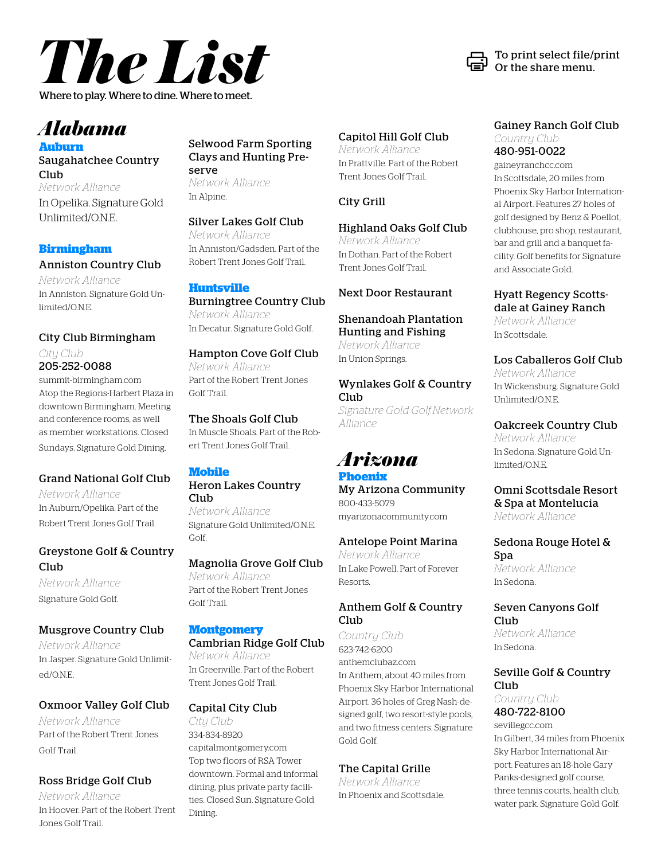

#### *Alabama* **Auburn**

Saugahatchee Country Club *Network Alliance* In Opelika. Signature Gold Unlimited/O.N.E.

#### **Birmingham**

#### Anniston Country Club

*Network Alliance* In Anniston. Signature Gold Unlimited/O.N.E.

#### City Club Birmingham *City Club*

205-252-0088 summit-birmingham.com Atop the Regions-Harbert Plaza in downtown Birmingham. Meeting and conference rooms, as well as member workstations. Closed Sundays. Signature Gold Dining.

#### Grand National Golf Club

*Network Alliance* In Auburn/Opelika. Part of the Robert Trent Jones Golf Trail.

#### Greystone Golf & Country Club

*Network Alliance* Signature Gold Golf.

#### Musgrove Country Club

*Network Alliance* In Jasper. Signature Gold Unlimited/O.N.E.

#### Oxmoor Valley Golf Club

*Network Alliance* Part of the Robert Trent Jones Golf Trail.

#### Ross Bridge Golf Club

*Network Alliance* In Hoover. Part of the Robert Trent Jones Golf Trail.

Selwood Farm Sporting Clays and Hunting Preserve *Network Alliance* In Alpine.

#### Silver Lakes Golf Club

*Network Alliance* In Anniston/Gadsden. Part of the Robert Trent Jones Golf Trail.

#### **Huntsville**

Burningtree Country Club *Network Alliance* In Decatur. Signature Gold Golf.

#### Hampton Cove Golf Club

*Network Alliance* Part of the Robert Trent Jones Golf Trail.

#### The Shoals Golf Club

In Muscle Shoals. Part of the Robert Trent Jones Golf Trail.

#### **Mobile**

#### Heron Lakes Country Club

*Network Alliance* Signature Gold Unlimited/O.N.E. Golf.

#### Magnolia Grove Golf Club

*Network Alliance* Part of the Robert Trent Jones Golf Trail.

#### **Montgomery**

Cambrian Ridge Golf Club *Network Alliance* In Greenville. Part of the Robert Trent Jones Golf Trail.

#### Capital City Club

*City Club* 334-834-8920 capitalmontgomery.com Top two floors of RSA Tower downtown. Formal and informal dining, plus private party facilities. Closed Sun. Signature Gold Dining.

#### Capitol Hill Golf Club

*Network Alliance* In Prattville. Part of the Robert Trent Jones Golf Trail.

#### City Grill

#### Highland Oaks Golf Club

*Network Alliance* In Dothan. Part of the Robert Trent Jones Golf Trail.

#### Next Door Restaurant

#### Shenandoah Plantation Hunting and Fishing *Network Alliance*

In Union Springs.

#### Wynlakes Golf & Country Club

*Signature Gold Golf.Network Alliance*

#### *Arizona* **Phoenix**

My Arizona Community 800-433-5079 myarizonacommunity.com

#### Antelope Point Marina

*Network Alliance* In Lake Powell. Part of Forever Resorts.

#### Anthem Golf & Country Club

*Country Club* 623-742-6200 anthemclubaz.com In Anthem, about 40 miles from Phoenix Sky Harbor International Airport. 36 holes of Greg Nash-designed golf, two resort-style pools, and two fitness centers. Signature Gold Golf.

#### The Capital Grille

*Network Alliance* In Phoenix and Scottsdale.

#### Gainey Ranch Golf Club *Country Club* 480-951-0022

gaineyranchcc.com In Scottsdale, 20 miles from Phoenix Sky Harbor International Airport. Features 27 holes of golf designed by Benz & Poellot, clubhouse, pro shop, restaurant, bar and grill and a banquet facility. Golf benefits for Signature and Associate Gold.

#### Hyatt Regency Scottsdale at Gainey Ranch

*Network Alliance* In Scottsdale.

#### Los Caballeros Golf Club *Network Alliance*

In Wickensburg. Signature Gold Unlimited/O.N.E.

#### Oakcreek Country Club

*Network Alliance* In Sedona. Signature Gold Unlimited/O.N.E.

#### Omni Scottsdale Resort & Spa at Montelucia *Network Alliance*

Sedona Rouge Hotel & Spa *Network Alliance*

In Sedona.

#### Seven Canyons Golf Club *Network Alliance*

In Sedona.

#### Seville Golf & Country Club

*Country Club* 480-722-8100

sevillegcc.com In Gilbert, 34 miles from Phoenix Sky Harbor International Airport. Features an 18-hole Gary Panks-designed golf course, three tennis courts, health club, water park. Signature Gold Golf.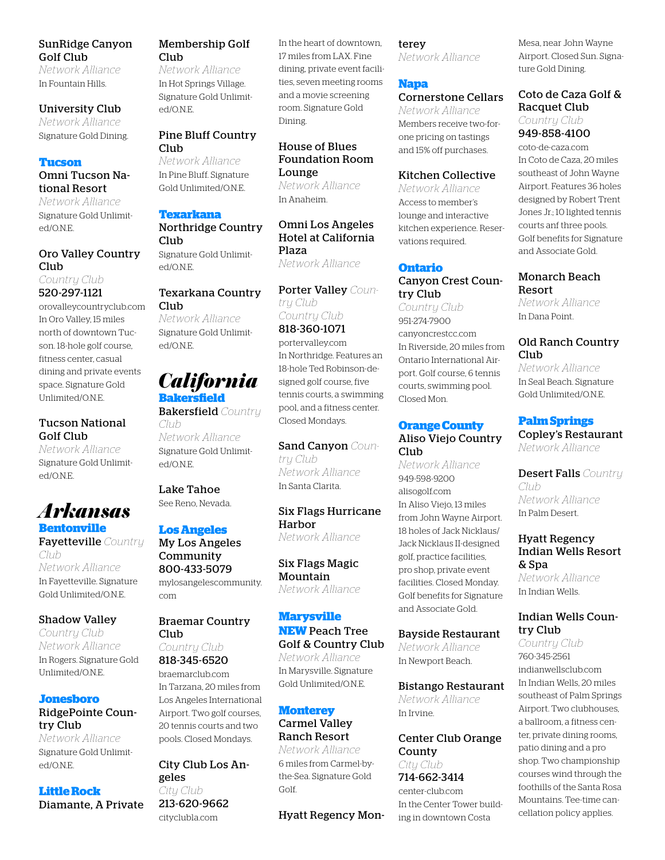#### SunRidge Canyon Golf Club

*Network Alliance* In Fountain Hills.

#### University Club

*Network Alliance* Signature Gold Dining.

#### **Tucson**

Omni Tucson National Resort

*Network Alliance* Signature Gold Unlimited/O.N.E.

#### Oro Valley Country Club

*Country Club* 520-297-1121

orovalleycountryclub.com In Oro Valley, 15 miles north of downtown Tucson. 18-hole golf course, fitness center, casual dining and private events space. Signature Gold Unlimited/O.N.E.

#### Tucson National Golf Club

*Network Alliance* Signature Gold Unlimited/O.N.E.

#### *Arkansas* **Bentonville**

Fayetteville *Country Club Network Alliance* In Fayetteville. Signature Gold Unlimited/O.N.E.

#### Shadow Valley *Country Club*

*Network Alliance* In Rogers. Signature Gold Unlimited/O.N.E.

#### **Jonesboro** RidgePointe Country Club

*Network Alliance* Signature Gold Unlimited/O.N.E.

#### **Little Rock** Diamante, A Private

Membership Golf Club

*Network Alliance* In Hot Springs Village. Signature Gold Unlimited/O.N.E.

#### Pine Bluff Country Club

*Network Alliance* In Pine Bluff. Signature Gold Unlimited/O.N.E.

#### **Texarkana**

Northridge Country Club Signature Gold Unlimited/O.N.E.

#### Texarkana Country Club

*Network Alliance* Signature Gold Unlimited/O.N.E.

# *California*

**Bakersfield** Bakersfield *Country* 

*Club Network Alliance* Signature Gold Unlimited/O.N.E.

Lake Tahoe See Reno, Nevada.

#### **Los Angeles**

My Los Angeles Community 800-433-5079 mylosangelescommunity. com

Braemar Country Club *Country Club* 818-345-6520 braemarclub.com In Tarzana, 20 miles from

Los Angeles International Airport. Two golf courses, 20 tennis courts and two pools. Closed Mondays.

City Club Los Angeles *City Club* 213-620-9662 cityclubla.com

In the heart of downtown, 17 miles from LAX. Fine dining, private event facilities, seven meeting rooms and a movie screening room. Signature Gold Dining.

#### House of Blues Foundation Room Lounge *Network Alliance*

In Anaheim.

#### Omni Los Angeles Hotel at California Plaza *Network Alliance*

Porter Valley *Country Club Country Club*

818-360-1071 portervalley.com In Northridge. Features an 18-hole Ted Robinson-designed golf course, five tennis courts, a swimming pool, and a fitness center.

Sand Canyon *Country Club Network Alliance* In Santa Clarita.

Closed Mondays.

Six Flags Hurricane Harbor *Network Alliance*

Six Flags Magic Mountain *Network Alliance*

#### **Marysville**

#### **NEW** Peach Tree Golf & Country Club

*Network Alliance* In Marysville. Signature Gold Unlimited/O.N.E.

#### **Monterey**

#### Carmel Valley Ranch Resort

*Network Alliance* 6 miles from Carmel-bythe-Sea. Signature Gold Golf.

Hyatt Regency Mon-

#### terey

*Network Alliance*

#### **Napa**

#### Cornerstone Cellars

*Network Alliance* Members receive two-forone pricing on tastings and 15% off purchases.

#### Kitchen Collective

*Network Alliance* Access to member's lounge and interactive kitchen experience. Reservations required.

#### **Ontario**

Canyon Crest Country Club

*Country Club* 951-274-7900 canyoncrestcc.com In Riverside, 20 miles from Ontario International Airport. Golf course, 6 tennis courts, swimming pool. Closed Mon.

#### **Orange County** Aliso Viejo Country Club<sub></sub>

*Network Alliance* 949-598-9200 alisogolf.com In Aliso Viejo, 13 miles from John Wayne Airport. 18 holes of Jack Nicklaus/ Jack Nicklaus II-designed golf, practice facilities, pro shop, private event facilities. Closed Monday. Golf benefits for Signature and Associate Gold.

#### Bayside Restaurant

*Network Alliance* In Newport Beach.

#### Bistango Restaurant

*Network Alliance* In Irvine.

Center Club Orange County *City Club* 714-662-3414 center-club.com

In the Center Tower building in downtown Costa

Mesa, near John Wayne Airport. Closed Sun. Signature Gold Dining.

#### Coto de Caza Golf & Racquet Club *Country Club* 949-858-4100

coto-de-caza.com In Coto de Caza, 20 miles southeast of John Wayne Airport. Features 36 holes designed by Robert Trent Jones Jr.; 10 lighted tennis courts anf three pools. Golf benefits for Signature and Associate Gold.

#### Monarch Beach Resort

*Network Alliance* In Dana Point.

#### Old Ranch Country Club

*Network Alliance* In Seal Beach. Signature Gold Unlimited/O.N.E.

#### **Palm Springs**

Copley's Restaurant *Network Alliance*

Desert Falls *Country Club Network Alliance* In Palm Desert.

#### Hyatt Regency Indian Wells Resort & Spa

*Network Alliance* In Indian Wells.

#### Indian Wells Country Club

*Country Club* 760-345-2561 indianwellsclub.com In Indian Wells, 20 miles southeast of Palm Springs Airport. Two clubhouses, a ballroom, a fitness center, private dining rooms, patio dining and a pro shop. Two championship courses wind through the foothills of the Santa Rosa Mountains. Tee-time cancellation policy applies.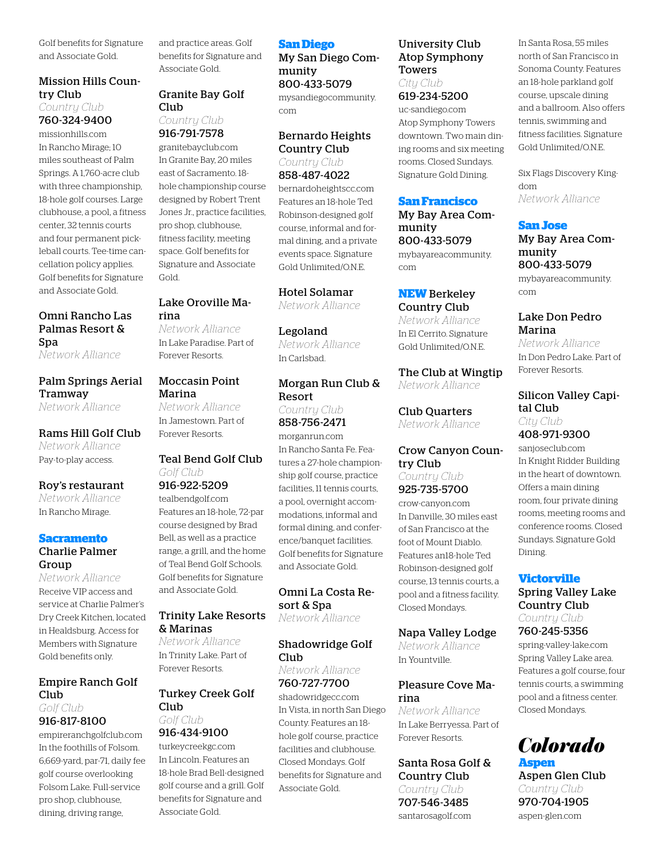Golf benefits for Signature and Associate Gold.

#### Mission Hills Country Club

*Country Club* 760-324-9400

missionhills.com In Rancho Mirage; 10 miles southeast of Palm Springs. A 1,760-acre club with three championship, 18-hole golf courses. Large clubhouse, a pool, a fitness center, 32 tennis courts and four permanent pickleball courts. Tee-time cancellation policy applies. Golf benefits for Signature and Associate Gold.

#### Omni Rancho Las Palmas Resort & Spa

*Network Alliance*

#### Palm Springs Aerial Tramway

*Network Alliance*

#### Rams Hill Golf Club

*Network Alliance* Pay-to-play access.

#### Roy's restaurant

*Network Alliance* In Rancho Mirage.

#### **Sacramento**

#### Charlie Palmer Group

*Network Alliance* Receive VIP access and service at Charlie Palmer's Dry Creek Kitchen, located in Healdsburg. Access for Members with Signature Gold benefits only.

#### Empire Ranch Golf Club

*Golf Club* 916-817-8100

empireranchgolfclub.com In the foothills of Folsom. 6,669-yard, par-71, daily fee golf course overlooking Folsom Lake. Full-service pro shop, clubhouse, dining, driving range,

and practice areas. Golf benefits for Signature and Associate Gold.

#### Granite Bay Golf Club

#### *Country Club* 916-791-7578

granitebayclub.com In Granite Bay, 20 miles east of Sacramento. 18 hole championship course designed by Robert Trent Jones Jr., practice facilities, pro shop, clubhouse, fitness facility, meeting space. Golf benefits for Signature and Associate Gold.

#### Lake Oroville Marina

*Network Alliance* In Lake Paradise. Part of Forever Resorts.

#### Moccasin Point Marina

*Network Alliance* In Jamestown. Part of Forever Resorts.

#### Teal Bend Golf Club *Golf Club*

916-922-5209 tealbendgolf.com Features an 18-hole, 72-par course designed by Brad Bell, as well as a practice range, a grill, and the home of Teal Bend Golf Schools. Golf benefits for Signature and Associate Gold.

#### Trinity Lake Resorts & Marinas

*Network Alliance* In Trinity Lake. Part of Forever Resorts.

#### Turkey Creek Golf Club *Golf Club*

#### 916-434-9100

turkeycreekgc.com In Lincoln. Features an 18-hole Brad Bell-designed golf course and a grill. Golf benefits for Signature and Associate Gold.

#### **San Diego**

My San Diego Community 800-433-5079

mysandiegocommunity. com

#### Bernardo Heights Country Club

*Country Club* 858-487-4022 bernardoheightscc.com Features an 18-hole Ted Robinson-designed golf course, informal and formal dining, and a private events space. Signature Gold Unlimited/O.N.E.

#### Hotel Solamar

*Network Alliance*

#### Legoland *Network Alliance* In Carlsbad.

#### Morgan Run Club & Resort

*Country Club* 858-756-2471 morganrun.com In Rancho Santa Fe. Features a 27-hole championship golf course, practice facilities, 11 tennis courts, a pool, overnight accommodations, informal and formal dining, and conference/banquet facilities. Golf benefits for Signature and Associate Gold.

#### Omni La Costa Resort & Spa

*Network Alliance*

#### Shadowridge Golf Club

*Network Alliance* 760-727-7700

shadowridgecc.com In Vista, in north San Diego County. Features an 18 hole golf course, practice facilities and clubhouse. Closed Mondays. Golf benefits for Signature and Associate Gold.

#### University Club Atop Symphony Towers

*City Club* 619-234-5200

uc-sandiego.com Atop Symphony Towers downtown. Two main dining rooms and six meeting rooms. Closed Sundays. Signature Gold Dining.

#### **San Francisco**

My Bay Area Community 800-433-5079 mybayareacommunity. com

#### **NEW** Berkeley Country Club

*Network Alliance* In El Cerrito. Signature Gold Unlimited/O.N.E.

The Club at Wingtip *Network Alliance*

Club Quarters *Network Alliance*

#### Crow Canyon Country Club *Country Club*

925-735-5700 crow-canyon.com

In Danville, 30 miles east of San Francisco at the foot of Mount Diablo. Features an18-hole Ted Robinson-designed golf course, 13 tennis courts, a pool and a fitness facility. Closed Mondays.

#### Napa Valley Lodge

*Network Alliance* In Yountville.

#### Pleasure Cove Marina

*Network Alliance* In Lake Berryessa. Part of Forever Resorts.

#### Santa Rosa Golf & Country Club *Country Club*

707-546-3485 santarosagolf.com In Santa Rosa, 55 miles north of San Francisco in Sonoma County. Features an 18-hole parkland golf course, upscale dining and a ballroom. Also offers tennis, swimming and fitness facilities. Signature Gold Unlimited/O.N.E.

Six Flags Discovery Kingdom *Network Alliance*

#### **San Jose**

My Bay Area Community 800-433-5079 mybayareacommunity. com

#### Lake Don Pedro Marina

*Network Alliance* In Don Pedro Lake. Part of Forever Resorts.

#### Silicon Valley Capital Club *City Club*

408-971-9300 sanjoseclub.com

In Knight Ridder Building in the heart of downtown. Offers a main dining room, four private dining rooms, meeting rooms and conference rooms. Closed Sundays. Signature Gold Dining.

#### **Victorville**

Spring Valley Lake Country Club *Country Club*

760-245-5356

spring-valley-lake.com Spring Valley Lake area. Features a golf course, four tennis courts, a swimming pool and a fitness center. Closed Mondays.

# *Colorado*

**Aspen** Aspen Glen Club *Country Club* 970-704-1905 aspen-glen.com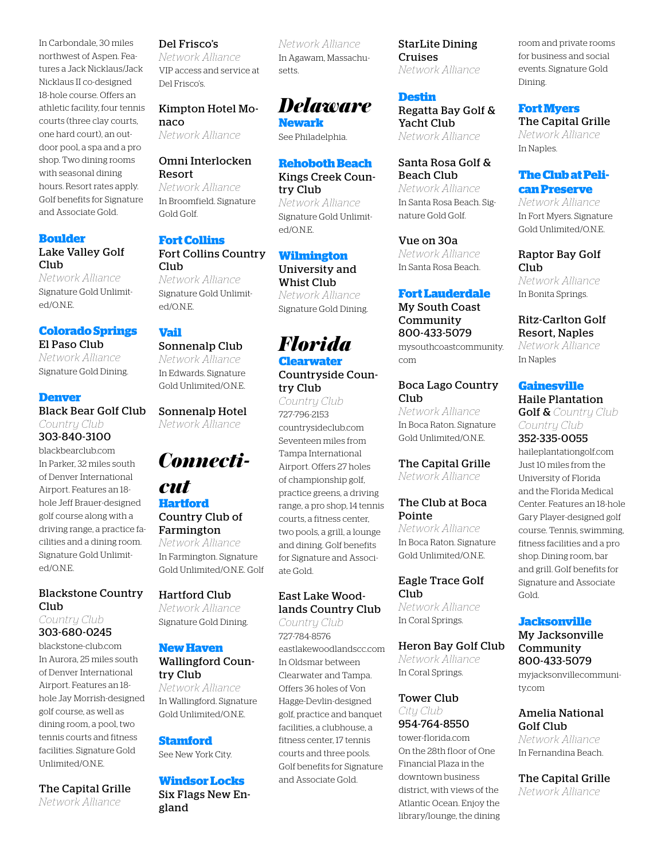In Carbondale, 30 miles northwest of Aspen. Features a Jack Nicklaus/Jack Nicklaus II co-designed 18-hole course. Offers an athletic facility, four tennis courts (three clay courts, one hard court), an outdoor pool, a spa and a pro shop. Two dining rooms with seasonal dining hours. Resort rates apply. Golf benefits for Signature and Associate Gold.

#### **Boulder** Lake Valley Golf Club

*Network Alliance* Signature Gold Unlimited/O.N.E.

#### **Colorado Springs** El Paso Club

*Network Alliance* Signature Gold Dining.

#### **Denver**

Black Bear Golf Club *Country Club* 303-840-3100

blackbearclub.com In Parker, 32 miles south of Denver International Airport. Features an 18 hole Jeff Brauer-designed golf course along with a driving range, a practice facilities and a dining room. Signature Gold Unlimited/O.N.E.

#### Blackstone Country Club *Country Club*

303-680-0245

blackstone-club.com In Aurora, 25 miles south of Denver International Airport. Features an 18 hole Jay Morrish-designed golf course, as well as dining room, a pool, two tennis courts and fitness facilities. Signature Gold Unlimited/O.N.E.

The Capital Grille *Network Alliance*

#### Del Frisco's

*Network Alliance* VIP access and service at Del Frisco's.

#### Kimpton Hotel Monaco

*Network Alliance*

#### Omni Interlocken Resort

*Network Alliance* In Broomfield. Signature Gold Golf.

#### **Fort Collins** Fort Collins Country  $C<sub>111</sub>h$

*Network Alliance* Signature Gold Unlimited/O.N.E.

#### **Vail**

#### Sonnenalp Club

*Network Alliance* In Edwards. Signature Gold Unlimited/O.N.E.

Sonnenalp Hotel *Network Alliance*

## *Connecti-*

#### *cut* **Hartford** Country Club of Farmington

*Network Alliance* In Farmington. Signature Gold Unlimited/O.N.E. Golf

#### Hartford Club

*Network Alliance* Signature Gold Dining.

#### **New Haven**

#### Wallingford Country Club

*Network Alliance* In Wallingford. Signature Gold Unlimited/O.N.E.

#### **Stamford**

See New York City.

#### **Windsor Locks**

Six Flags New England

*Network Alliance* In Agawam, Massachusetts.

## *Delaware*

**Newark** See Philadelphia.

#### **Rehoboth Beach**

Kings Creek Country Club *Network Alliance* Signature Gold Unlimited/O.N.E.

#### **Wilmington**

University and Whist Club *Network Alliance* Signature Gold Dining.

## *Florida*

**Clearwater** Countryside Coun-

try Club *Country Club* 727-796-2153 countrysideclub.com Seventeen miles from Tampa International Airport. Offers 27 holes of championship golf, practice greens, a driving range, a pro shop, 14 tennis courts, a fitness center, two pools, a grill, a lounge and dining. Golf benefits for Signature and Associate Gold.

#### East Lake Woodlands Country Club

*Country Club* 727-784-8576 eastlakewoodlandscc.com In Oldsmar between Clearwater and Tampa. Offers 36 holes of Von Hagge-Devlin-designed golf, practice and banquet facilities, a clubhouse, a fitness center, 17 tennis courts and three pools. Golf benefits for Signature and Associate Gold.

StarLite Dining Cruises *Network Alliance*

#### **Destin**

Regatta Bay Golf & Yacht Club *Network Alliance*

Santa Rosa Golf & Beach Club

*Network Alliance* In Santa Rosa Beach. Signature Gold Golf.

Vue on 30a *Network Alliance* In Santa Rosa Beach.

#### **Fort Lauderdale**

My South Coast Community 800-433-5079 mysouthcoastcommunity. com

#### Boca Lago Country Club

*Network Alliance* In Boca Raton. Signature Gold Unlimited/O.N.E.

#### The Capital Grille *Network Alliance*

#### The Club at Boca Pointe

*Network Alliance* In Boca Raton. Signature Gold Unlimited/O.N.E.

#### Eagle Trace Golf Club

*Network Alliance* In Coral Springs.

#### Heron Bay Golf Club

*Network Alliance* In Coral Springs.

#### Tower Club *City Club* 954-764-8550

tower-florida.com On the 28th floor of One Financial Plaza in the downtown business district, with views of the Atlantic Ocean. Enjoy the library/lounge, the dining room and private rooms for business and social events. Signature Gold Dining.

#### **Fort Myers** The Capital Grille

*Network Alliance* In Naples.

#### **The Club at Pelican Preserve**

*Network Alliance* In Fort Myers. Signature Gold Unlimited/O.N.E.

#### Raptor Bay Golf **Club**

*Network Alliance* In Bonita Springs.

#### Ritz-Carlton Golf Resort, Naples

*Network Alliance* In Naples

#### **Gainesville**

Haile Plantation Golf & *Country Club Country Club* 352-335-0055

haileplantationgolf.com Just 10 miles from the University of Florida and the Florida Medical Center. Features an 18-hole Gary Player-designed golf course. Tennis, swimming, fitness facilities and a pro shop. Dining room, bar and grill. Golf benefits for Signature and Associate Gold.

#### **Jacksonville**

#### My Jacksonville Community 800-433-5079

myjacksonvillecommunity.com

#### Amelia National Golf Club

*Network Alliance* In Fernandina Beach.

#### The Capital Grille

*Network Alliance*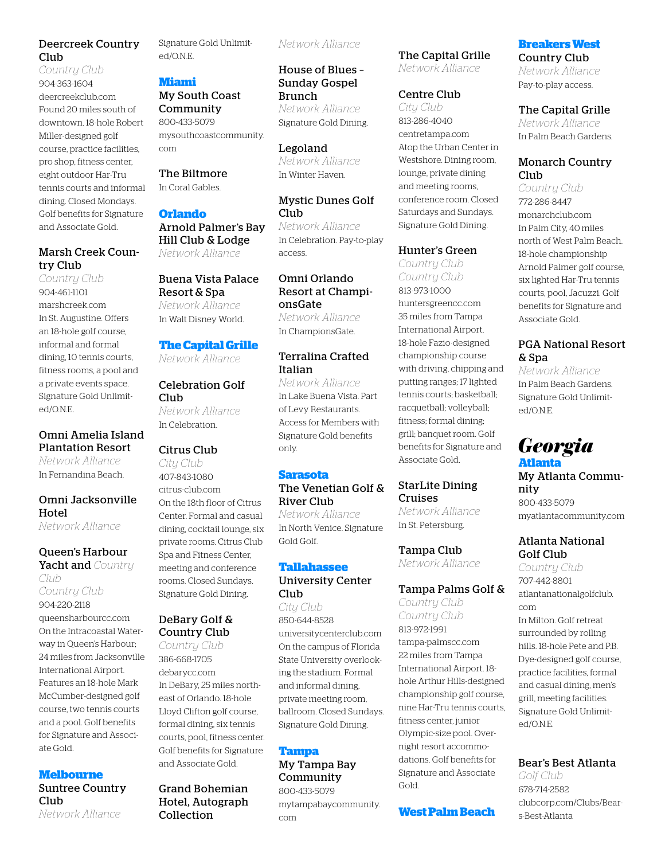#### Deercreek Country Club

*Country Club* 904-363-1604 deercreekclub.com Found 20 miles south of downtown. 18-hole Robert Miller-designed golf course, practice facilities, pro shop, fitness center, eight outdoor Har-Tru tennis courts and informal dining. Closed Mondays. Golf benefits for Signature and Associate Gold.

#### Marsh Creek Country Club

*Country Club* 904-461-1101 marshcreek.com In St. Augustine. Offers an 18-hole golf course, informal and formal dining, 10 tennis courts, fitness rooms, a pool and a private events space. Signature Gold Unlimited/O.N.E.

#### Omni Amelia Island Plantation Resort

*Network Alliance* In Fernandina Beach.

#### Omni Jacksonville **Hotel**

*Network Alliance*

#### Queen's Harbour

Yacht and *Country Club Country Club* 904-220-2118

queensharbourcc.com On the Intracoastal Waterway in Queen's Harbour; 24 miles from Jacksonville International Airport. Features an 18-hole Mark McCumber-designed golf course, two tennis courts and a pool. Golf benefits for Signature and Associate Gold.

#### **Melbourne**

Suntree Country Club *Network Alliance*

Signature Gold Unlimited/O.N.E.

#### **Miami** My South Coast

Community 800-433-5079 mysouthcoastcommunity. com

#### The Biltmore

In Coral Gables.

#### **Orlando**

Arnold Palmer's Bay Hill Club & Lodge *Network Alliance*

#### Buena Vista Palace Resort & Spa

*Network Alliance* In Walt Disney World.

#### **The Capital Grille**

*Network Alliance*

#### Celebration Golf Club<sub>1</sub>

*Network Alliance* In Celebration.

#### Citrus Club

*City Club* 407-843-1080 citrus-club.com On the 18th floor of Citrus Center. Formal and casual dining, cocktail lounge, six private rooms. Citrus Club Spa and Fitness Center, meeting and conference rooms. Closed Sundays. Signature Gold Dining.

#### DeBary Golf & Country Club

*Country Club* 386-668-1705 debarycc.com In DeBary, 25 miles northeast of Orlando. 18-hole Lloyd Clifton golf course, formal dining, six tennis courts, pool, fitness center. Golf benefits for Signature and Associate Gold.

Grand Bohemian Hotel, Autograph Collection

*Network Alliance*

#### House of Blues – Sunday Gospel Brunch *Network Alliance*

Signature Gold Dining.

Legoland *Network Alliance* In Winter Haven.

#### Mystic Dunes Golf Club

*Network Alliance* In Celebration. Pay-to-play access.

#### Omni Orlando Resort at ChampionsGate *Network Alliance* In ChampionsGate.

#### Terralina Crafted Italian

*Network Alliance* In Lake Buena Vista. Part of Levy Restaurants. Access for Members with Signature Gold benefits only.

#### **Sarasota**

#### The Venetian Golf & River Club

*Network Alliance* In North Venice. Signature Gold Golf.

## **Tallahassee**

#### University Center Club

*City Club* 850-644-8528 universitycenterclub.com On the campus of Florida State University overlooking the stadium. Formal and informal dining, private meeting room, ballroom. Closed Sundays. Signature Gold Dining.

#### **Tampa**

My Tampa Bay Community 800-433-5079 mytampabaycommunity. com

The Capital Grille *Network Alliance*

#### Centre Club

*City Club* 813-286-4040 centretampa.com Atop the Urban Center in Westshore. Dining room, lounge, private dining and meeting rooms, conference room. Closed Saturdays and Sundays. Signature Gold Dining.

#### Hunter's Green

*Country Club Country Club* 813-973-1000 huntersgreencc.com 35 miles from Tampa International Airport. 18-hole Fazio-designed championship course with driving, chipping and putting ranges; 17 lighted tennis courts; basketball; racquetball; volleyball; fitness; formal dining; grill; banquet room. Golf benefits for Signature and Associate Gold.

#### StarLite Dining Cruises

*Network Alliance* In St. Petersburg.

Tampa Club *Network Alliance*

#### Tampa Palms Golf &

*Country Club Country Club* 813-972-1991 tampa-palmscc.com 22 miles from Tampa International Airport. 18 hole Arthur Hills-designed championship golf course, nine Har-Tru tennis courts, fitness center, junior Olympic-size pool. Overnight resort accommodations. Golf benefits for Signature and Associate Gold.

#### **West Palm Beach**

#### **Breakers West**  Country Club

*Network Alliance* Pay-to-play access.

#### The Capital Grille

*Network Alliance* In Palm Beach Gardens.

#### Monarch Country Club

*Country Club* 772-286-8447 monarchclub.com In Palm City, 40 miles north of West Palm Beach. 18-hole championship Arnold Palmer golf course, six lighted Har-Tru tennis courts, pool, Jacuzzi. Golf benefits for Signature and Associate Gold.

#### PGA National Resort & Spa

*Network Alliance* In Palm Beach Gardens. Signature Gold Unlimited/O.N.E.

#### *Georgia* **Atlanta**

My Atlanta Community 800-433-5079 myatlantacommunity.com

#### Atlanta National Golf Club

*Country Club* 707-442-8801 atlantanationalgolfclub. com In Milton. Golf retreat surrounded by rolling hills. 18-hole Pete and P.B. Dye-designed golf course, practice facilities, formal and casual dining, men's grill, meeting facilities. Signature Gold Unlimited/O.N.E.

#### Bear's Best Atlanta

*Golf Club* 678-714-2582 clubcorp.com/Clubs/Bears-Best-Atlanta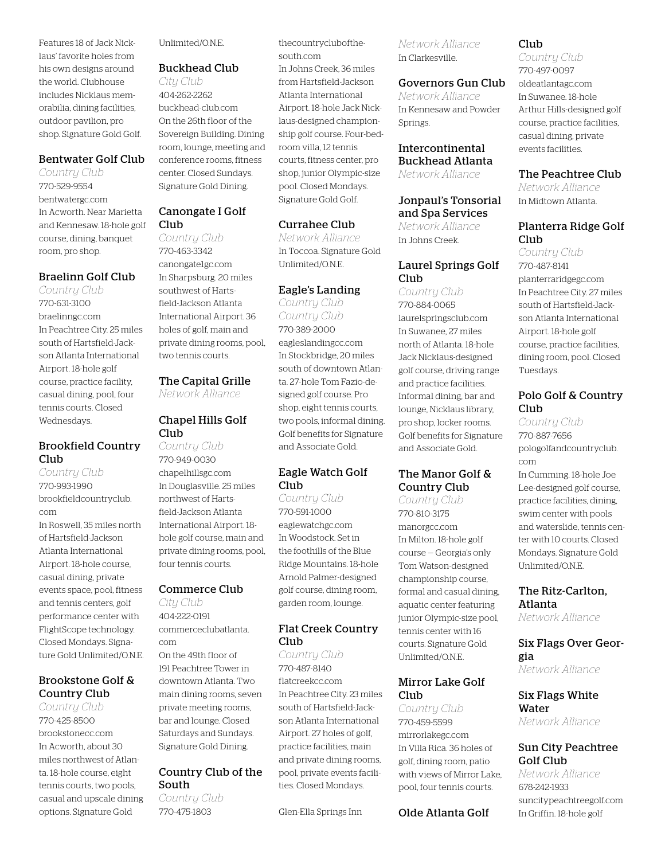Features 18 of Jack Nicklaus' favorite holes from his own designs around the world. Clubhouse includes Nicklaus memorabilia, dining facilities, outdoor pavilion, pro shop. Signature Gold Golf.

#### Bentwater Golf Club

*Country Club* 770-529-9554 bentwatergc.com In Acworth. Near Marietta and Kennesaw. 18-hole golf course, dining, banquet room, pro shop.

#### Braelinn Golf Club

*Country Club* 770-631-3100 braelinngc.com In Peachtree City. 25 miles south of Hartsfield-Jackson Atlanta International Airport. 18-hole golf course, practice facility, casual dining, pool, four tennis courts. Closed Wednesdays.

#### Brookfield Country Club

*Country Club* 770-993-1990 brookfieldcountryclub. com In Roswell, 35 miles north of Hartsfield-Jackson Atlanta International Airport. 18-hole course, casual dining, private events space, pool, fitness and tennis centers, golf performance center with FlightScope technology. Closed Mondays. Signature Gold Unlimited/O.N.E.

#### Brookstone Golf & Country Club

*Country Club* 770-425-8500 brookstonecc.com In Acworth, about 30 miles northwest of Atlanta. 18-hole course, eight tennis courts, two pools, casual and upscale dining options. Signature Gold

Unlimited/O.N.E.

#### Buckhead Club

*City Club* 404-262-2262 buckhead-club.com On the 26th floor of the Sovereign Building. Dining room, lounge, meeting and conference rooms, fitness center. Closed Sundays. Signature Gold Dining.

#### Canongate I Golf Club

*Country Club* 770-463-3342 canongate1gc.com In Sharpsburg. 20 miles southwest of Hartsfield-Jackson Atlanta International Airport. 36 holes of golf, main and private dining rooms, pool, two tennis courts.

#### The Capital Grille

*Network Alliance*

#### Chapel Hills Golf Club

*Country Club* 770-949-0030 chapelhillsgc.com In Douglasville. 25 miles northwest of Hartsfield-Jackson Atlanta International Airport. 18 hole golf course, main and private dining rooms, pool, four tennis courts.

#### Commerce Club

*City Club* 404-222-0191 commerceclubatlanta. com On the 49th floor of 191 Peachtree Tower in downtown Atlanta. Two main dining rooms, seven private meeting rooms, bar and lounge. Closed Saturdays and Sundays. Signature Gold Dining.

#### Country Club of the South

*Country Club* 770-475-1803

thecountryclubofthesouth.com In Johns Creek, 36 miles from Hartsfield-Jackson Atlanta International Airport. 18-hole Jack Nicklaus-designed championship golf course. Four-bedroom villa, 12 tennis courts, fitness center, pro shop, junior Olympic-size pool. Closed Mondays. Signature Gold Golf.

#### Currahee Club

*Network Alliance* In Toccoa. Signature Gold Unlimited/O.N.E.

#### Eagle's Landing

*Country Club Country Club* 770-389-2000 eagleslandingcc.com In Stockbridge, 20 miles south of downtown Atlanta. 27-hole Tom Fazio-designed golf course. Pro shop, eight tennis courts, two pools, informal dining. Golf benefits for Signature and Associate Gold.

#### Eagle Watch Golf Club

*Country Club* 770-591-1000 eaglewatchgc.com In Woodstock. Set in the foothills of the Blue Ridge Mountains. 18-hole Arnold Palmer-designed golf course, dining room, garden room, lounge.

#### Flat Creek Country Club

*Country Club* 770-487-8140 flatcreekcc.com In Peachtree City. 23 miles south of Hartsfield-Jackson Atlanta International Airport. 27 holes of golf, practice facilities, main and private dining rooms, pool, private events facilities. Closed Mondays.

Glen-Ella Springs Inn

*Network Alliance* In Clarkesville.

#### Governors Gun Club

*Network Alliance* In Kennesaw and Powder Springs.

#### Intercontinental

Buckhead Atlanta *Network Alliance*

#### Jonpaul's Tonsorial and Spa Services

*Network Alliance* In Johns Creek.

#### Laurel Springs Golf Club

*Country Club* 770-884-0065 laurelspringsclub.com In Suwanee, 27 miles north of Atlanta. 18-hole Jack Nicklaus-designed golf course, driving range and practice facilities. Informal dining, bar and lounge, Nicklaus library, pro shop, locker rooms. Golf benefits for Signature and Associate Gold.

#### The Manor Golf & Country Club

*Country Club* 770-810-3175 manorgcc.com In Milton. 18-hole golf course — Georgia's only Tom Watson-designed championship course, formal and casual dining, aquatic center featuring junior Olympic-size pool, tennis center with 16 courts. Signature Gold Unlimited/O.N.E.

#### Mirror Lake Golf Club

*Country Club* 770-459-5599 mirrorlakegc.com In Villa Rica. 36 holes of golf, dining room, patio with views of Mirror Lake, pool, four tennis courts.

Olde Atlanta Golf

#### Club

*Country Club* 770-497-0097 oldeatlantagc.com In Suwanee. 18-hole Arthur Hills-designed golf course, practice facilities, casual dining, private events facilities.

#### The Peachtree Club

*Network Alliance* In Midtown Atlanta.

#### Planterra Ridge Golf Club

*Country Club* 770-487-8141 planterraridgegc.com In Peachtree City. 27 miles south of Hartsfield-Jackson Atlanta International Airport. 18-hole golf course, practice facilities, dining room, pool. Closed Tuesdays.

#### Polo Golf & Country Club

*Country Club*

770-887-7656 pologolfandcountryclub. com

In Cumming. 18-hole Joe Lee-designed golf course, practice facilities, dining, swim center with pools and waterslide, tennis center with 10 courts. Closed Mondays. Signature Gold Unlimited/O.N.E.

#### The Ritz-Carlton, Atlanta

*Network Alliance*

#### Six Flags Over Georgia *Network Alliance*

Six Flags White Water *Network Alliance*

#### Sun City Peachtree Golf Club

*Network Alliance* 678-242-1933 suncitypeachtreegolf.com In Griffin. 18-hole golf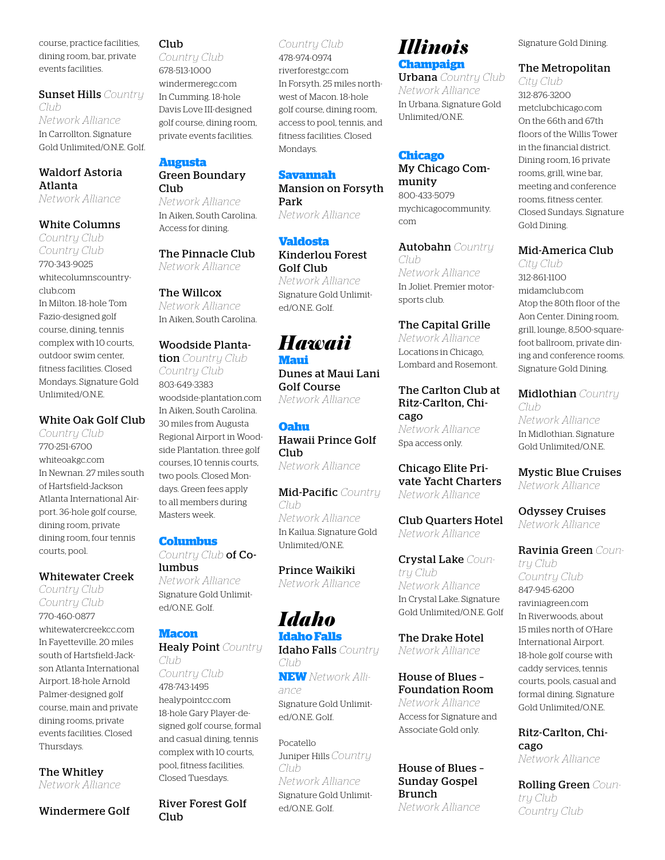course, practice facilities, dining room, bar, private events facilities.

Sunset Hills *Country Club Network Alliance* In Carrollton. Signature Gold Unlimited/O.N.E. Golf.

#### Waldorf Astoria Atlanta *Network Alliance*

#### White Columns

*Country Club Country Club* 770-343-9025 whitecolumnscountryclub.com In Milton. 18-hole Tom Fazio-designed golf course, dining, tennis complex with 10 courts, outdoor swim center, fitness facilities. Closed Mondays. Signature Gold Unlimited/O.N.E.

#### White Oak Golf Club

*Country Club* 770-251-6700 whiteoakgc.com In Newnan. 27 miles south of Hartsfield-Jackson Atlanta International Airport. 36-hole golf course, dining room, private dining room, four tennis courts, pool.

#### Whitewater Creek

*Country Club Country Club* 770-460-0877 whitewatercreekcc.com In Fayetteville. 20 miles south of Hartsfield-Jackson Atlanta International Airport. 18-hole Arnold Palmer-designed golf course, main and private dining rooms, private events facilities. Closed Thursdays.

The Whitley *Network Alliance*

#### Windermere Golf

Club

*Country Club* 678-513-1000 windermeregc.com In Cumming. 18-hole Davis Love III-designed golf course, dining room, private events facilities.

#### **Augusta** Green Boundary

Club<sub>1</sub> *Network Alliance* In Aiken, South Carolina. Access for dining.

The Pinnacle Club *Network Alliance*

#### The Willcox

*Network Alliance* In Aiken, South Carolina.

#### Woodside Planta-

tion *Country Club Country Club* 803-649-3383 woodside-plantation.com In Aiken, South Carolina. 30 miles from Augusta Regional Airport in Woodside Plantation. three golf courses, 10 tennis courts, two pools. Closed Mondays. Green fees apply to all members during Masters week.

#### **Columbus**

*Country Club* of Columbus *Network Alliance* Signature Gold Unlimited/O.N.E. Golf.

#### **Macon**

Healy Point *Country Club Country Club* 478-743-1495 healypointcc.com 18-hole Gary Player-designed golf course, formal and casual dining, tennis complex with 10 courts, pool, fitness facilities. Closed Tuesdays.

River Forest Golf Club

#### *Country Club*

478-974-0974 riverforestgc.com In Forsyth. 25 miles northwest of Macon. 18-hole golf course, dining room, access to pool, tennis, and fitness facilities. Closed Mondays.

#### **Savannah**

Mansion on Forsyth Park *Network Alliance*

**Valdosta** Kinderlou Forest Golf Club *Network Alliance*

Signature Gold Unlimited/O.N.E. Golf.

## *Hawaii*

**Maui** Dunes at Maui Lani Golf Course *Network Alliance*

**Oahu** Hawaii Prince Golf Club *Network Alliance*

Mid-Pacific *Country Club Network Alliance* In Kailua. Signature Gold Unlimited/O.N.E.

Prince Waikiki *Network Alliance*

## *Idaho*

**Idaho Falls** Idaho Falls *Country Club* **NEW** *Network Alliance*

Signature Gold Unlimited/O.N.E. Golf.

Pocatello Juniper Hills *Country Club Network Alliance* Signature Gold Unlimited/O.N.E. Golf.

## *Illinois* **Champaign**

Urbana *Country Club Network Alliance* In Urbana. Signature Gold Unlimited/O.N.E.

#### **Chicago**

My Chicago Community 800-433-5079 mychicagocommunity. com

Autobahn *Country Club Network Alliance* In Joliet. Premier motorsports club.

The Capital Grille *Network Alliance* Locations in Chicago, Lombard and Rosemont.

#### The Carlton Club at Ritz-Carlton, Chicago *Network Alliance* Spa access only.

Chicago Elite Private Yacht Charters *Network Alliance*

Club Quarters Hotel *Network Alliance*

Crystal Lake *Country Club Network Alliance* In Crystal Lake. Signature Gold Unlimited/O.N.E. Golf

The Drake Hotel *Network Alliance*

House of Blues – Foundation Room *Network Alliance* Access for Signature and Associate Gold only.

#### House of Blues – Sunday Gospel Brunch *Network Alliance*

Signature Gold Dining.

#### The Metropolitan

*City Club* 312-876-3200 metclubchicago.com On the 66th and 67th floors of the Willis Tower in the financial district. Dining room, 16 private rooms, grill, wine bar, meeting and conference rooms, fitness center. Closed Sundays. Signature Gold Dining.

#### Mid-America Club

*City Club* 312-861-1100 midamclub.com Atop the 80th floor of the Aon Center. Dining room, grill, lounge, 8,500-squarefoot ballroom, private dining and conference rooms. Signature Gold Dining.

Midlothian *Country Club Network Alliance*

In Midlothian. Signature Gold Unlimited/O.N.E.

Mystic Blue Cruises *Network Alliance*

Odyssey Cruises *Network Alliance*

Ravinia Green *Country Club Country Club* 847-945-6200 raviniagreen.com In Riverwoods, about 15 miles north of O'Hare International Airport. 18-hole golf course with caddy services, tennis courts, pools, casual and formal dining. Signature Gold Unlimited/O.N.E.

Ritz-Carlton, Chicago *Network Alliance*

Rolling Green *Country Club Country Club*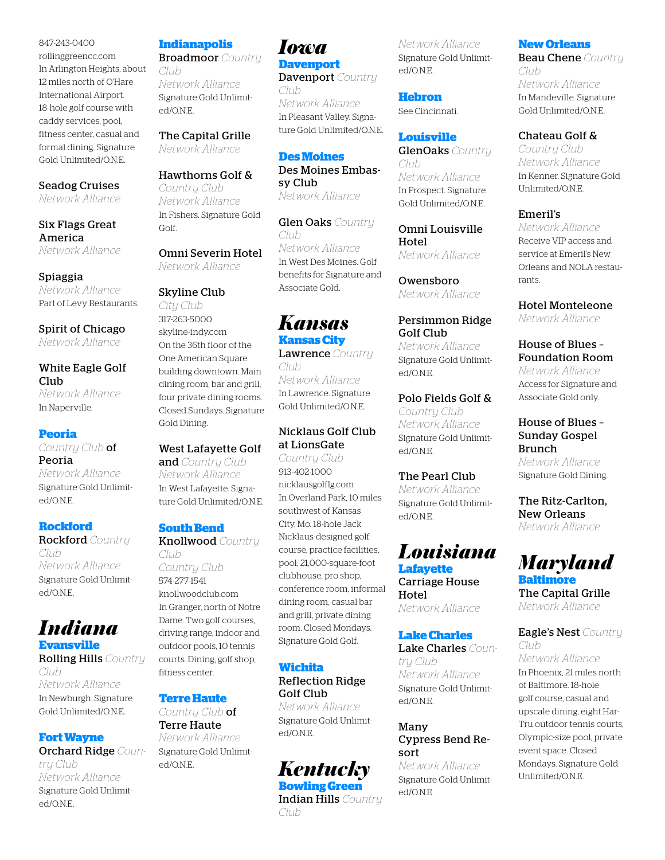847-243-0400 rollinggreencc.com In Arlington Heights, about 12 miles north of O'Hare International Airport. 18-hole golf course with caddy services, pool, fitness center, casual and formal dining. Signature Gold Unlimited/O.N.E.

#### Seadog Cruises

*Network Alliance*

Six Flags Great America *Network Alliance*

Spiaggia *Network Alliance* Part of Levy Restaurants.

Spirit of Chicago *Network Alliance*

White Eagle Golf Club *Network Alliance* In Naperville.

#### **Peoria**

*Country Club* of Peoria *Network Alliance* Signature Gold Unlimited/ONE.

#### **Rockford**

Rockford *Country Club Network Alliance* Signature Gold Unlimited/O.N.E.

#### *Indiana* **Evansville**

Rolling Hills *Country Club Network Alliance* In Newburgh. Signature Gold Unlimited/O.N.E.

#### **Fort Wayne**

Orchard Ridge *Country Club Network Alliance* Signature Gold Unlimited/O.N.E.

#### **Indianapolis**

Broadmoor *Country* 

*Club Network Alliance* Signature Gold Unlimited/O.N.E.

#### The Capital Grille

*Network Alliance*

#### Hawthorns Golf &

*Country Club Network Alliance* In Fishers. Signature Gold Golf.

Omni Severin Hotel *Network Alliance*

#### Skyline Club

*City Club* 317-263-5000 skyline-indy.com On the 36th floor of the One American Square building downtown. Main dining room, bar and grill, four private dining rooms. Closed Sundays. Signature Gold Dining.

#### West Lafayette Golf

and *Country Club Network Alliance* In West Lafayette. Signature Gold Unlimited/O.N.E.

#### **South Bend**

Knollwood *Country Club Country Club* 574-277-1541 knollwoodclub.com In Granger, north of Notre Dame. Two golf courses, driving range, indoor and outdoor pools, 10 tennis courts. Dining, golf shop, fitness center.

#### **Terre Haute**

*Country Club* of Terre Haute *Network Alliance* Signature Gold Unlimited/O.N.E.

#### *Iowa* **Davenport**

Davenport *Country Club Network Alliance* In Pleasant Valley. Signature Gold Unlimited/O.N.E.

#### **Des Moines**

Des Moines Embassy Club *Network Alliance*

Glen Oaks *Country Club Network Alliance* In West Des Moines. Golf benefits for Signature and Associate Gold.

## *Kansas*

**Kansas City** Lawrence *Country Club Network Alliance* In Lawrence. Signature Gold Unlimited/O.N.E.

#### Nicklaus Golf Club at LionsGate

*Country Club* 913-402-1000 nicklausgolflg.com In Overland Park, 10 miles southwest of Kansas City, Mo. 18-hole Jack Nicklaus-designed golf course, practice facilities, pool, 21,000-square-foot clubhouse, pro shop, conference room, informal dining room, casual bar and grill, private dining room. Closed Mondays. Signature Gold Golf.

#### **Wichita**

#### Reflection Ridge Golf Club

*Network Alliance* Signature Gold Unlimited/O.N.E.

## *Kentucky*

**Bowling Green** Indian Hills *Country Club*

*Network Alliance* Signature Gold Unlimited/O.N.E.

**Hebron** See Cincinnati.

#### **Louisville**

GlenOaks *Country Club Network Alliance* In Prospect. Signature Gold Unlimited/O.N.E.

Omni Louisville Hotel *Network Alliance*

Owensboro *Network Alliance*

#### Persimmon Ridge Golf Club

*Network Alliance* Signature Gold Unlimited/O.N.E.

#### Polo Fields Golf & *Country Club Network Alliance*

Signature Gold Unlimited/ONE.

#### The Pearl Club

*Network Alliance* Signature Gold Unlimited/O.N.E.

## *Louisiana* **Lafayette**

Carriage House Hotel

#### **Lake Charles**

Lake Charles *Country Club Network Alliance* Signature Gold Unlimited/O.N.E.

#### Many Cypress Bend Resort

Signature Gold Unlimited/ONE

#### **New Orleans**

Beau Chene *Country Club Network Alliance* In Mandeville. Signature Gold Unlimited/O.N.E.

#### Chateau Golf &

*Country Club Network Alliance* In Kenner. Signature Gold Unlimited/O.N.E.

#### Emeril's

*Network Alliance* Receive VIP access and service at Emeril's New Orleans and NOLA restaurants.

#### Hotel Monteleone

*Network Alliance*

#### House of Blues – Foundation Room

*Network Alliance* Access for Signature and Associate Gold only.

#### House of Blues – Sunday Gospel Brunch

*Network Alliance* Signature Gold Dining.

#### The Ritz-Carlton, New Orleans *Network Alliance*

## *Maryland*

**Baltimore** The Capital Grille *Network Alliance*

#### Eagle's Nest *Country Club*

*Network Alliance* In Phoenix, 21 miles north of Baltimore. 18-hole golf course, casual and upscale dining, eight Har-Tru outdoor tennis courts, Olympic-size pool, private event space. Closed Mondays. Signature Gold Unlimited/O.N.E.

*Network Alliance*

*Network Alliance*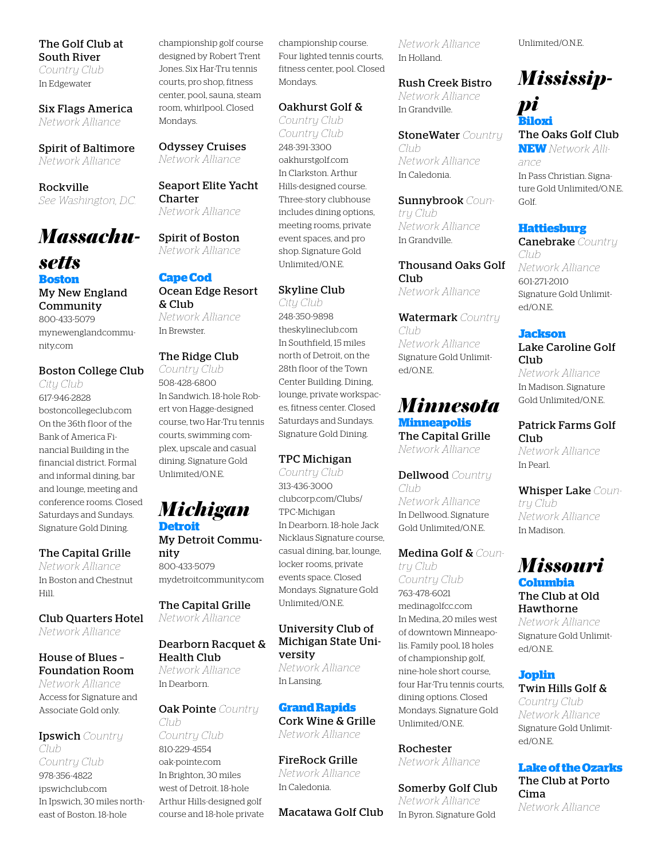#### The Golf Club at South River *Country Club* In Edgewater

Six Flags America

*Network Alliance*

Spirit of Baltimore *Network Alliance*

Rockville *See Washington, D.C.*

## *Massachu-*

#### *setts* **Boston** My New England Community 800-433-5079 mynewenglandcommunity.com

#### Boston College Club

*City Club* 617-946-2828 bostoncollegeclub.com On the 36th floor of the Bank of America Financial Building in the financial district. Formal and informal dining, bar and lounge, meeting and conference rooms. Closed Saturdays and Sundays. Signature Gold Dining.

#### The Capital Grille

*Network Alliance* In Boston and Chestnut Hill.

Club Quarters Hotel *Network Alliance*

#### House of Blues – Foundation Room

*Network Alliance* Access for Signature and Associate Gold only.

Ipswich *Country Club Country Club* 978-356-4822 ipswichclub.com In Ipswich, 30 miles northeast of Boston. 18-hole

championship golf course designed by Robert Trent Jones. Six Har-Tru tennis courts, pro shop, fitness center, pool, sauna, steam room, whirlpool. Closed Mondays.

Odyssey Cruises *Network Alliance*

Seaport Elite Yacht Charter *Network Alliance*

Spirit of Boston *Network Alliance*

#### **Cape Cod** Ocean Edge Resort & Club

*Network Alliance* In Brewster.

#### The Ridge Club

*Country Club* 508-428-6800 In Sandwich. 18-hole Robert von Hagge-designed course, two Har-Tru tennis courts, swimming complex, upscale and casual dining. Signature Gold Unlimited/O.N.E.

## *Michigan*

**Detroit** My Detroit Community 800-433-5079 mydetroitcommunity.com

The Capital Grille *Network Alliance*

#### Dearborn Racquet & Health Club

*Network Alliance* In Dearborn.

Oak Pointe *Country Club Country Club*

810-229-4554 oak-pointe.com In Brighton, 30 miles west of Detroit. 18-hole Arthur Hills-designed golf course and 18-hole private championship course. Four lighted tennis courts, fitness center, pool. Closed Mondays.

#### Oakhurst Golf &

*Country Club Country Club* 248-391-3300 oakhurstgolf.com In Clarkston. Arthur Hills-designed course. Three-story clubhouse includes dining options, meeting rooms, private event spaces, and pro shop. Signature Gold Unlimited/O.N.E.

#### Skyline Club

*City Club* 248-350-9898 theskylineclub.com In Southfield, 15 miles north of Detroit, on the 28th floor of the Town Center Building. Dining, lounge, private workspaces, fitness center. Closed Saturdays and Sundays. Signature Gold Dining.

#### TPC Michigan

*Country Club* 313-436-3000 clubcorp.com/Clubs/ TPC-Michigan In Dearborn. 18-hole Jack Nicklaus Signature course, casual dining, bar, lounge, locker rooms, private events space. Closed Mondays. Signature Gold Unlimited/O.N.E.

#### University Club of Michigan State University *Network Alliance*

In Lansing.

#### **Grand Rapids**

Cork Wine & Grille *Network Alliance*

FireRock Grille *Network Alliance* In Caledonia.

Macatawa Golf Club

*Network Alliance* In Holland.

Rush Creek Bistro *Network Alliance* In Grandville.

StoneWater *Country Club Network Alliance* In Caledonia.

Sunnybrook *Country Club Network Alliance* In Grandville.

Thousand Oaks Golf Club *Network Alliance*

Watermark *Country Club Network Alliance* Signature Gold Unlimited/O.N.E.

#### *Minnesota* **Minneapolis** The Capital Grille

*Network Alliance*

Dellwood *Country Club Network Alliance* In Dellwood. Signature Gold Unlimited/O.N.E.

Medina Golf & *Country Club*

*Country Club* 763-478-6021 medinagolfcc.com In Medina, 20 miles west of downtown Minneapolis. Family pool, 18 holes of championship golf, nine-hole short course, four Har-Tru tennis courts, dining options. Closed Mondays. Signature Gold Unlimited/O.N.E.

Rochester *Network Alliance*

Somerby Golf Club *Network Alliance* In Byron. Signature Gold

Unlimited/O.N.E.

## *Mississip-*

*pi* **Biloxi** The Oaks Golf Club **NEW** *Network Alliance*

In Pass Christian. Signature Gold Unlimited/O.N.E. Golf.

#### **Hattiesburg**

Canebrake *Country Club Network Alliance* 601-271-2010 Signature Gold Unlimited/O.N.E.

#### **Jackson**

Lake Caroline Golf Club

*Network Alliance* In Madison. Signature Gold Unlimited/O.N.E.

#### Patrick Farms Golf Club

*Network Alliance* In Pearl.

Whisper Lake *Country Club Network Alliance* In Madison.

## *Missouri*

#### **Columbia** The Club at Old Hawthorne

*Network Alliance* Signature Gold Unlimited/O.N.E.

#### **Joplin** Twin Hills Golf &

*Country Club Network Alliance* Signature Gold Unlimited/O.N.E.

#### **Lake of the Ozarks** The Club at Porto Cima *Network Alliance*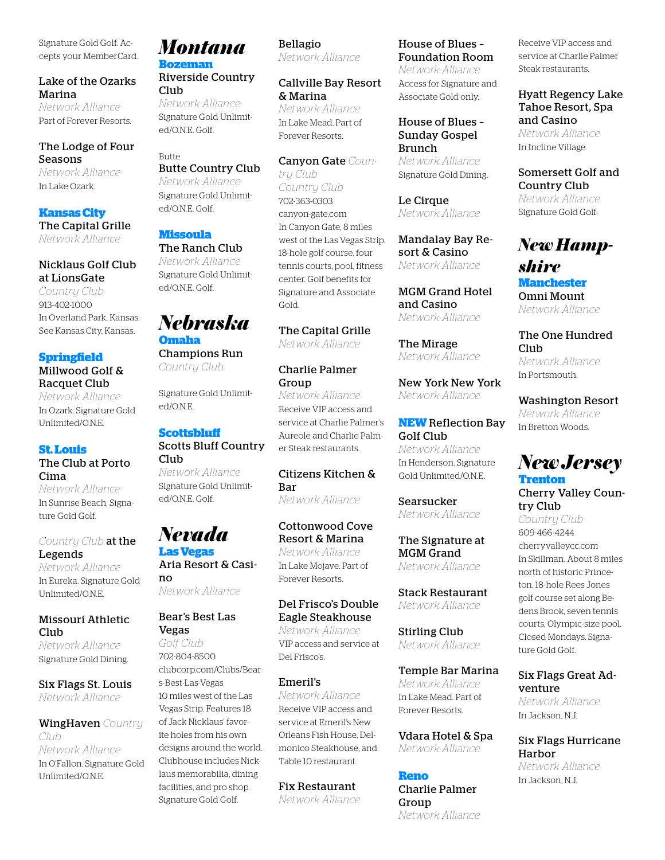Signature Gold Golf. Accepts your MemberCard.

#### Lake of the Ozarks Marina

*Network Alliance* Part of Forever Resorts.

#### The Lodge of Four Seasons

*Network Alliance* In Lake Ozark.

#### **Kansas City**

The Capital Grille *Network Alliance*

#### Nicklaus Golf Club at LionsGate

*Country Club* 913-402-1000 In Overland Park, Kansas. See Kansas City, Kansas.

#### **Springfield**

Millwood Golf & Racquet Club *Network Alliance*

In Ozark. Signature Gold Unlimited/O.N.E.

#### **St. Louis**

The Club at Porto Cima *Network Alliance*

In Sunrise Beach. Signature Gold Golf.

#### *Country Club* at the Legends

*Network Alliance* In Eureka. Signature Gold Unlimited/O.N.E.

#### Missouri Athletic Club<sub>1</sub>

*Network Alliance* Signature Gold Dining.

Six Flags St. Louis *Network Alliance*

#### WingHaven *Country Club Network Alliance* In O'Fallon. Signature Gold Unlimited/O.N.E.

*Montana* **Bozeman**

Riverside Country Club

*Network Alliance* Signature Gold Unlimited/O.N.E. Golf.

#### Butte Butte Country Club

*Network Alliance* Signature Gold Unlimited/O.N.E. Golf.

## **Missoula**

The Ranch Club *Network Alliance* Signature Gold Unlimited/O.N.E. Golf.

## *Nebraska*

**Omaha** Champions Run *Country Club*

Signature Gold Unlimited/O.N.E.

#### **Scottsbluff**

#### Scotts Bluff Country Club

*Network Alliance* Signature Gold Unlimited/O.N.E. Golf.

#### *Nevada* **Las Vegas**

Aria Resort & Casino *Network Alliance*

#### Bear's Best Las Vegas

*Golf Club* 702-804-8500 clubcorp.com/Clubs/Bears-Best-Las-Vegas 10 miles west of the Las Vegas Strip. Features 18 of Jack Nicklaus' favorite holes from his own designs around the world. Clubhouse includes Nicklaus memorabilia, dining facilities, and pro shop. Signature Gold Golf.

#### Bellagio *Network Alliance*

Callville Bay Resort & Marina *Network Alliance* In Lake Mead. Part of Forever Resorts.

Canyon Gate *Country Club Country Club* 702-363-0303 canyon-gate.com In Canyon Gate, 8 miles west of the Las Vegas Strip. 18-hole golf course, four tennis courts, pool, fitness center. Golf benefits for Signature and Associate Gold.

The Capital Grille *Network Alliance*

#### Charlie Palmer Group

*Network Alliance* Receive VIP access and service at Charlie Palmer's Aureole and Charlie Palmer Steak restaurants.

Citizens Kitchen & Bar *Network Alliance*

#### Cottonwood Cove Resort & Marina *Network Alliance*

In Lake Mojave. Part of Forever Resorts.

#### Del Frisco's Double Eagle Steakhouse *Network Alliance*

VIP access and service at Del Frisco's.

#### Emeril's

*Network Alliance* Receive VIP access and service at Emeril's New Orleans Fish House, Delmonico Steakhouse, and Table 10 restaurant.

## Fix Restaurant

*Network Alliance*

#### House of Blues – Foundation Room

*Network Alliance* Access for Signature and Associate Gold only.

#### House of Blues – Sunday Gospel Brunch

*Network Alliance* Signature Gold Dining.

Le Cirque *Network Alliance*

Mandalay Bay Resort & Casino *Network Alliance*

MGM Grand Hotel and Casino *Network Alliance*

The Mirage *Network Alliance*

New York New York *Network Alliance*

**NEW** Reflection Bay Golf Club *Network Alliance* In Henderson. Signature

Searsucker *Network Alliance*

Gold Unlimited/O.N.E.

#### The Signature at MGM Grand *Network Alliance*

Stack Restaurant *Network Alliance*

Stirling Club *Network Alliance*

#### Temple Bar Marina

*Network Alliance* In Lake Mead. Part of Forever Resorts.

Vdara Hotel & Spa *Network Alliance*

#### **Reno**

Charlie Palmer Group *Network Alliance* Receive VIP access and service at Charlie Palmer Steak restaurants.

Hyatt Regency Lake Tahoe Resort, Spa and Casino *Network Alliance*

In Incline Village.

Somersett Golf and Country Club *Network Alliance* Signature Gold Golf.

## *New Hampshire*

**Manchester** Omni Mount *Network Alliance*

The One Hundred Club *Network Alliance* In Portsmouth.

Washington Resort *Network Alliance* In Bretton Woods.

## *New Jersey* **Trenton**

Cherry Valley Country Club

*Country Club* 609-466-4244 cherryvalleycc.com In Skillman. About 8 miles north of historic Princeton. 18-hole Rees Jones golf course set along Bedens Brook, seven tennis courts, Olympic-size pool. Closed Mondays. Signature Gold Golf.

#### Six Flags Great Adventure

*Network Alliance* In Jackson, N.J.

Six Flags Hurricane Harbor *Network Alliance* In Jackson, N.J.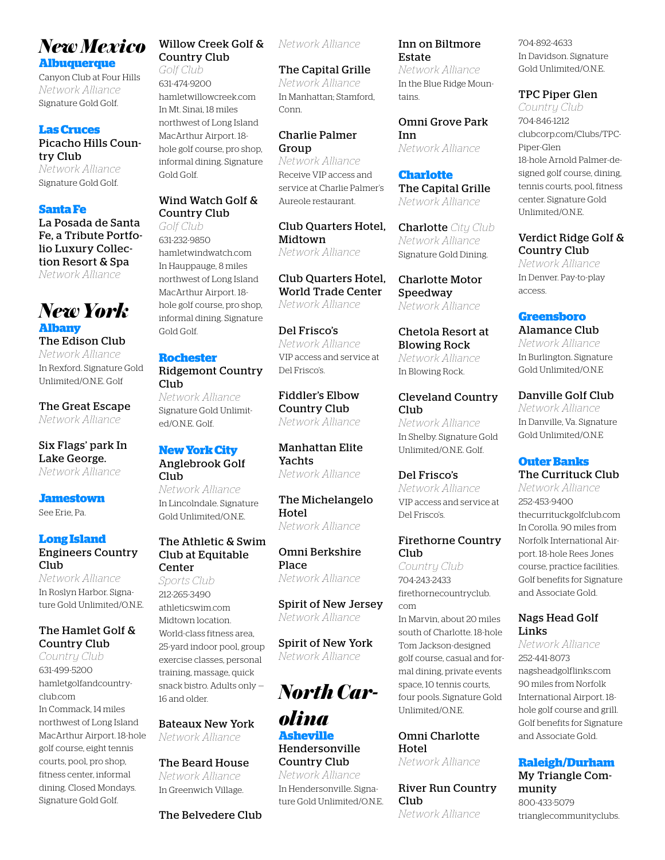## *New Mexico*

**Albuquerque**

Canyon Club at Four Hills *Network Alliance* Signature Gold Golf.

#### **Las Cruces**

Picacho Hills Country Club *Network Alliance* Signature Gold Golf.

#### **Santa Fe**

La Posada de Santa Fe, a Tribute Portfolio Luxury Collection Resort & Spa *Network Alliance*

#### *New York* **Albany**

The Edison Club *Network Alliance* In Rexford. Signature Gold Unlimited/O.N.E. Golf

The Great Escape *Network Alliance*

#### Six Flags' park In Lake George. *Network Alliance*

#### **Jamestown**

See Erie, Pa.

#### **Long Island**

Engineers Country Club

*Network Alliance* In Roslyn Harbor. Signature Gold Unlimited/O.N.E.

#### The Hamlet Golf & Country Club

*Country Club* 631-499-5200 hamletgolfandcountryclub.com In Commack, 14 miles northwest of Long Island MacArthur Airport. 18-hole golf course, eight tennis courts, pool, pro shop, fitness center, informal dining. Closed Mondays. Signature Gold Golf.

#### Willow Creek Golf & Country Club

*Golf Club* 631-474-9200 hamletwillowcreek.com In Mt. Sinai, 18 miles northwest of Long Island MacArthur Airport. 18 hole golf course, pro shop, informal dining. Signature Gold Golf.

#### Wind Watch Golf & Country Club

*Golf Club* 631-232-9850 hamletwindwatch.com In Hauppauge, 8 miles northwest of Long Island MacArthur Airport. 18 hole golf course, pro shop, informal dining. Signature Gold Golf.

#### **Rochester**

#### Ridgemont Country Club *Network Alliance* Signature Gold Unlimited/O.N.E. Golf.

#### **New York City** Anglebrook Golf

Club *Network Alliance* In Lincolndale. Signature Gold Unlimited/O.N.E.

#### The Athletic & Swim Club at Equitable Center

*Sports Club* 212-265-3490 athleticswim.com Midtown location. World-class fitness area, 25-yard indoor pool, group exercise classes, personal training, massage, quick snack bistro. Adults only — 16 and older.

#### Bateaux New York *Network Alliance*

The Beard House *Network Alliance* In Greenwich Village.

#### *Network Alliance*

The Capital Grille *Network Alliance* In Manhattan; Stamford, Conn.

#### Charlie Palmer Group

*Network Alliance* Receive VIP access and service at Charlie Palmer's Aureole restaurant.

Club Quarters Hotel, Midtown *Network Alliance*

Club Quarters Hotel, World Trade Center *Network Alliance*

Del Frisco's *Network Alliance* VIP access and service at Del Frisco's.

Fiddler's Elbow Country Club *Network Alliance*

Manhattan Elite Yachts *Network Alliance*

The Michelangelo Hotel *Network Alliance*

Omni Berkshire Place *Network Alliance*

Spirit of New Jersey *Network Alliance*

Spirit of New York *Network Alliance*

*North Car-*

*olina* **Asheville** Hendersonville Country Club *Network Alliance* In Hendersonville. Signature Gold Unlimited/O.N.E.

#### Inn on Biltmore Estate

*Network Alliance* In the Blue Ridge Mountains.

Omni Grove Park Inn *Network Alliance*

**Charlotte** The Capital Grille *Network Alliance*

Charlotte *City Club Network Alliance* Signature Gold Dining.

Charlotte Motor Speedway *Network Alliance*

Chetola Resort at Blowing Rock *Network Alliance* In Blowing Rock.

Cleveland Country Club<sub></sub> *Network Alliance* In Shelby. Signature Gold Unlimited/O.N.E. Golf.

Del Frisco's *Network Alliance* VIP access and service at Del Frisco's.

#### Firethorne Country Club

*Country Club* 704-243-2433 firethornecountryclub. com

In Marvin, about 20 miles south of Charlotte. 18-hole Tom Jackson-designed golf course, casual and formal dining, private events space, 10 tennis courts, four pools. Signature Gold Unlimited/O.N.E.

#### Omni Charlotte Hotel

*Network Alliance*

River Run Country **Club** *Network Alliance*

704-892-4633 In Davidson. Signature Gold Unlimited/O.N.E.

#### TPC Piper Glen

*Country Club* 704-846-1212 clubcorp.com/Clubs/TPC-Piper-Glen 18-hole Arnold Palmer-designed golf course, dining, tennis courts, pool, fitness center. Signature Gold Unlimited/O.N.E.

Verdict Ridge Golf & Country Club

*Network Alliance* In Denver. Pay-to-play access.

#### **Greensboro**

Alamance Club *Network Alliance* In Burlington. Signature Gold Unlimited/O.N.E

Danville Golf Club *Network Alliance* In Danville, Va. Signature Gold Unlimited/O.N.E

#### **Outer Banks** The Currituck Club

*Network Alliance* 252-453-9400 thecurrituckgolfclub.com In Corolla. 90 miles from Norfolk International Airport. 18-hole Rees Jones course, practice facilities. Golf benefits for Signature and Associate Gold.

#### Nags Head Golf Links

*Network Alliance* 252-441-8073 nagsheadgolflinks.com 90 miles from Norfolk International Airport. 18 hole golf course and grill. Golf benefits for Signature and Associate Gold.

#### **Raleigh/Durham**

My Triangle Community 800-433-5079 trianglecommunityclubs.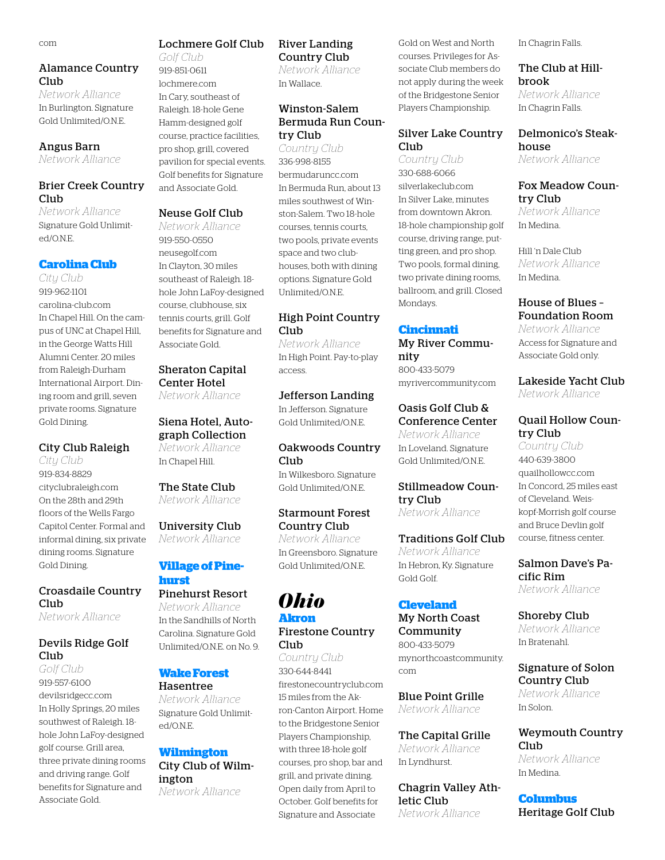#### Alamance Country Club

*Network Alliance* In Burlington. Signature Gold Unlimited/O.N.E.

#### Angus Barn

*Network Alliance*

#### Brier Creek Country Club

*Network Alliance* Signature Gold Unlimited/O.N.E.

#### **Carolina Club**

*City Club* 919-962-1101 carolina-club.com In Chapel Hill. On the campus of UNC at Chapel Hill, in the George Watts Hill Alumni Center. 20 miles from Raleigh-Durham International Airport. Dining room and grill, seven private rooms. Signature Gold Dining.

#### City Club Raleigh

*City Club* 919-834-8829 cityclubraleigh.com On the 28th and 29th floors of the Wells Fargo Capitol Center. Formal and informal dining, six private dining rooms. Signature Gold Dining.

#### Croasdaile Country Club

*Network Alliance*

#### Devils Ridge Golf Club

*Golf Club* 919-557-6100 devilsridgecc.com In Holly Springs, 20 miles southwest of Raleigh. 18 hole John LaFoy-designed golf course. Grill area, three private dining rooms and driving range. Golf benefits for Signature and Associate Gold.

## Lochmere Golf Club

*Golf Club* 919-851-0611

lochmere.com In Cary, southeast of Raleigh. 18-hole Gene Hamm-designed golf course, practice facilities, pro shop, grill, covered pavilion for special events. Golf benefits for Signature and Associate Gold.

#### Neuse Golf Club

*Network Alliance* 919-550-0550 neusegolf.com In Clayton, 30 miles southeast of Raleigh. 18 hole John LaFoy-designed course, clubhouse, six tennis courts, grill. Golf benefits for Signature and Associate Gold.

#### Sheraton Capital Center Hotel

*Network Alliance*

#### Siena Hotel, Autograph Collection

*Network Alliance* In Chapel Hill.

#### The State Club *Network Alliance*

#### University Club *Network Alliance*

**Village of Pine-**

#### **hurst** Pinehurst Resort

*Network Alliance* In the Sandhills of North Carolina. Signature Gold Unlimited/O.N.E. on No. 9.

#### **Wake Forest** Hasentree

*Network Alliance* Signature Gold Unlimited/O.N.E.

#### **Wilmington**

City Club of Wilmington *Network Alliance*

#### River Landing Country Club

*Network Alliance* In Wallace.

#### Winston-Salem Bermuda Run Country Club

*Country Club* 336-998-8155 bermudaruncc.com In Bermuda Run, about 13 miles southwest of Winston-Salem. Two 18-hole courses, tennis courts, two pools, private events space and two clubhouses, both with dining options. Signature Gold Unlimited/O.N.E.

#### High Point Country Club

*Network Alliance* In High Point. Pay-to-play access.

#### Jefferson Landing

In Jefferson. Signature Gold Unlimited/O.N.E.

#### Oakwoods Country Club

In Wilkesboro. Signature Gold Unlimited/O.N.E.

#### Starmount Forest Country Club

*Network Alliance* In Greensboro. Signature Gold Unlimited/O.N.E.

## *Ohio*

#### **Akron** Firestone Country

Club

*Country Club* 330-644-8441 firestonecountryclub.com 15 miles from the Akron-Canton Airport. Home to the Bridgestone Senior Players Championship, with three 18-hole golf courses, pro shop, bar and grill, and private dining. Open daily from April to October. Golf benefits for Signature and Associate

Gold on West and North courses. Privileges for Associate Club members do not apply during the week of the Bridgestone Senior Players Championship.

#### Silver Lake Country Club

*Country Club* 330-688-6066 silverlakeclub.com In Silver Lake, minutes from downtown Akron. 18-hole championship golf course, driving range, putting green, and pro shop. Two pools, formal dining, two private dining rooms, ballroom, and grill. Closed Mondays.

#### **Cincinnati**

#### My River Commu-

nity 800-433-5079 myrivercommunity.com

#### Oasis Golf Club & Conference Center

*Network Alliance* In Loveland. Signature Gold Unlimited/O.N.E.

#### Stillmeadow Country Club

*Network Alliance*

#### Traditions Golf Club

*Network Alliance* In Hebron, Ky. Signature Gold Golf.

#### **Cleveland**

#### My North Coast Community

800-433-5079 mynorthcoastcommunity. com

Blue Point Grille *Network Alliance*

The Capital Grille *Network Alliance* In Lyndhurst.

Chagrin Valley Athletic Club *Network Alliance*

In Chagrin Falls.

#### The Club at Hillbrook

*Network Alliance* In Chagrin Falls.

Delmonico's Steakhouse *Network Alliance*

#### Fox Meadow Country Club

*Network Alliance* In Medina.

Hill 'n Dale Club *Network Alliance* In Medina.

#### House of Blues – Foundation Room

*Network Alliance* Access for Signature and Associate Gold only.

Lakeside Yacht Club *Network Alliance*

#### Quail Hollow Country Club

*Country Club* 440-639-3800 quailhollowcc.com In Concord, 25 miles east of Cleveland. Weiskopf-Morrish golf course and Bruce Devlin golf course, fitness center.

Salmon Dave's Pacific Rim *Network Alliance*

#### Shoreby Club *Network Alliance*

In Bratenahl.

#### Signature of Solon Country Club *Network Alliance* In Solon.

Weymouth Country Club *Network Alliance* In Medina.

**Columbus** Heritage Golf Club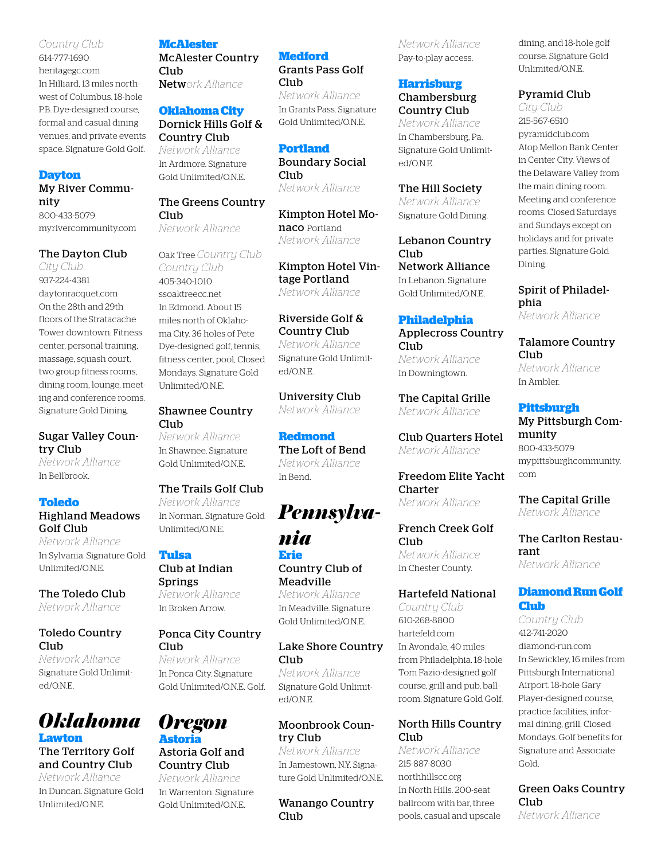#### *Country Club*

614-777-1690 heritagegc.com In Hilliard, 13 miles northwest of Columbus. 18-hole P.B. Dye-designed course, formal and casual dining venues, and private events space. Signature Gold Golf.

#### **Dayton**

#### My River Community

800-433-5079 myrivercommunity.com

#### The Dayton Club

*City Club* 937-224-4381 daytonracquet.com On the 28th and 29th floors of the Stratacache Tower downtown. Fitness center, personal training, massage, squash court, two group fitness rooms, dining room, lounge, meeting and conference rooms. Signature Gold Dining.

Sugar Valley Country Club

*Network Alliance* In Bellbrook.

#### **Toledo**

#### Highland Meadows Golf Club

*Network Alliance* In Sylvania. Signature Gold Unlimited/O.N.E.

The Toledo Club *Network Alliance*

#### Toledo Country Club

*Network Alliance* Signature Gold Unlimited/O.N.E.



#### The Territory Golf and Country Club *Network Alliance*

In Duncan. Signature Gold Unlimited/O.N.E.

#### **McAlester**

McAlester Country Club Netw*ork Alliance*

#### **Oklahoma City**

Dornick Hills Golf & Country Club *Network Alliance*

In Ardmore. Signature Gold Unlimited/O.N.E.

#### The Greens Country Club *Network Alliance*

Oak Tree *Country Club Country Club* 405-340-1010 ssoaktreecc.net In Edmond. About 15 miles north of Oklahoma City. 36 holes of Pete Dye-designed golf, tennis, fitness center, pool, Closed Mondays. Signature Gold Unlimited/O.N.E.

#### Shawnee Country Club

*Network Alliance* In Shawnee. Signature Gold Unlimited/O.N.E.

#### The Trails Golf Club *Network Alliance* In Norman. Signature Gold Unlimited/O.N.E.

**Tulsa** Club at Indian Springs *Network Alliance* In Broken Arrow.

#### Ponca City Country Club *Network Alliance*

In Ponca City. Signature Gold Unlimited/O.N.E. Golf.

#### *Oregon* **Astoria**

#### Astoria Golf and Country Club

*Network Alliance* In Warrenton. Signature Gold Unlimited/O.N.E.

**Medford** Grants Pass Golf Club

*Network Alliance* In Grants Pass. Signature Gold Unlimited/O.N.E.

#### **Portland**

Boundary Social Club *Network Alliance*

Kimpton Hotel Monaco Portland *Network Alliance*

Kimpton Hotel Vintage Portland *Network Alliance*

Riverside Golf & Country Club *Network Alliance* Signature Gold Unlimited/O.N.E.

University Club *Network Alliance*

#### **Redmond**

The Loft of Bend *Network Alliance* In Bend.

## *Pennsylva-*

*nia* **Erie** Country Club of Meadville

*Network Alliance* In Meadville. Signature Gold Unlimited/O.N.E.

#### Lake Shore Country Club *Network Alliance*

Signature Gold Unlimited/O.N.E.

#### Moonbrook Country Club

*Network Alliance* In Jamestown, N.Y. Signature Gold Unlimited/O.N.E.

Wanango Country Club

*Network Alliance* Pay-to-play access.

#### **Harrisburg**

#### Chambersburg Country Club

*Network Alliance* In Chambersburg, Pa. Signature Gold Unlimited/O.N.E.

The Hill Society

*Network Alliance* Signature Gold Dining.

Lebanon Country Club<sub></sub> Network Alliance In Lebanon. Signature Gold Unlimited/O.N.E.

#### **Philadelphia**

Applecross Country Club *Network Alliance* In Downingtown.

The Capital Grille *Network Alliance*

Club Quarters Hotel *Network Alliance*

Freedom Elite Yacht Charter *Network Alliance*

French Creek Golf Club *Network Alliance* In Chester County.

#### Hartefeld National

*Country Club* 610-268-8800 hartefeld.com In Avondale, 40 miles from Philadelphia. 18-hole Tom Fazio-designed golf course, grill and pub, ballroom. Signature Gold Golf.

#### North Hills Country Club

*Network Alliance* 215-887-8030 northhillscc.org In North Hills. 200-seat ballroom with bar, three pools, casual and upscale dining, and 18-hole golf course. Signature Gold Unlimited/O.N.E.

#### Pyramid Club

*City Club* 215-567-6510 pyramidclub.com Atop Mellon Bank Center in Center City. Views of the Delaware Valley from the main dining room. Meeting and conference rooms. Closed Saturdays and Sundays except on holidays and for private parties. Signature Gold Dining.

Spirit of Philadelphia

*Network Alliance*

Talamore Country Club *Network Alliance* In Ambler.

#### **Pittsburgh**

My Pittsburgh Community 800-433-5079 mypittsburghcommunity. com

The Capital Grille *Network Alliance*

The Carlton Restaurant *Network Alliance*

#### **Diamond Run Golf Club**

*Country Club* 412-741-2020 diamond-run.com In Sewickley, 16 miles from Pittsburgh International Airport. 18-hole Gary Player-designed course, practice facilities, informal dining, grill. Closed Mondays. Golf benefits for Signature and Associate Gold.

#### Green Oaks Country Club

*Network Alliance*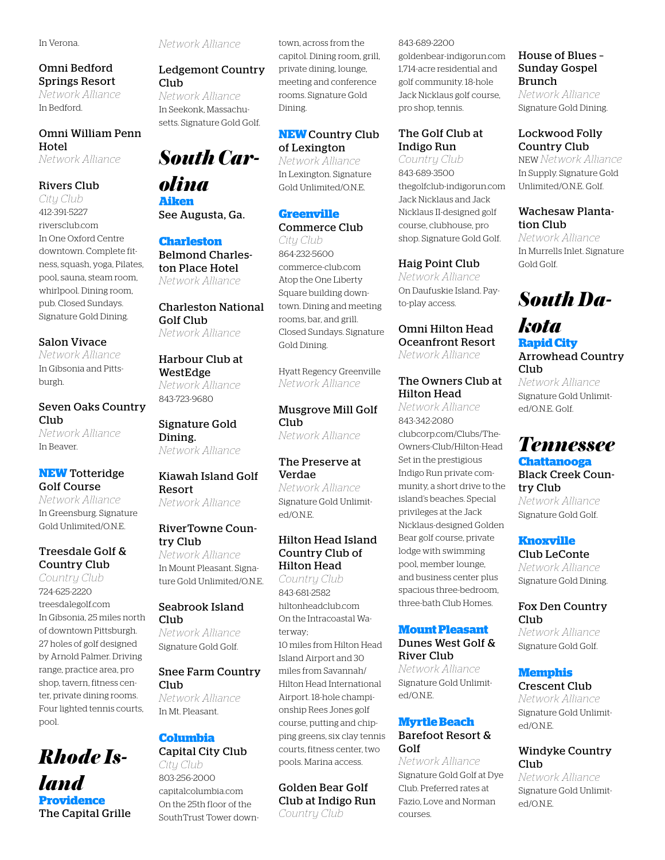#### In Verona.

#### Omni Bedford Springs Resort *Network Alliance*

In Bedford.

#### Omni William Penn Hotel *Network Alliance*

#### Rivers Club

*City Club* 412-391-5227 riversclub.com In One Oxford Centre downtown. Complete fitness, squash, yoga, Pilates, pool, sauna, steam room, whirlpool. Dining room, pub. Closed Sundays. Signature Gold Dining.

#### Salon Vivace

*Network Alliance* In Gibsonia and Pittsburgh.

#### Seven Oaks Country Club

*Network Alliance* In Beaver.

#### **NEW** Totteridge Golf Course

*Network Alliance* In Greensburg. Signature Gold Unlimited/O.N.E.

#### Treesdale Golf & Country Club

*Country Club* 724-625-2220 treesdalegolf.com In Gibsonia, 25 miles north of downtown Pittsburgh. 27 holes of golf designed by Arnold Palmer. Driving range, practice area, pro shop, tavern, fitness center, private dining rooms. Four lighted tennis courts, pool.

## *Rhode Island* **Providence** The Capital Grille

*Network Alliance*

#### Ledgemont Country Club

*Network Alliance* In Seekonk, Massachusetts. Signature Gold Golf.

# *South Car-*

*olina* **Aiken** See Augusta, Ga.

#### **Charleston** Belmond Charleston Place Hotel *Network Alliance*

#### Charleston National Golf Club *Network Alliance*

#### Harbour Club at WestEdge *Network Alliance*

843-723-9680

Signature Gold Dining. *Network Alliance*

#### Kiawah Island Golf Resort *Network Alliance*

RiverTowne Country Club

*Network Alliance* In Mount Pleasant. Signature Gold Unlimited/O.N.E.

#### Seabrook Island Club

*Network Alliance* Signature Gold Golf.

#### Snee Farm Country Club

*Network Alliance* In Mt. Pleasant.

#### **Columbia** Capital City Club

*City Club* 803-256-2000 capitalcolumbia.com On the 25th floor of the SouthTrust Tower downtown, across from the capitol. Dining room, grill, private dining, lounge, meeting and conference rooms. Signature Gold Dining.

#### **NEW** Country Club of Lexington

*Network Alliance* In Lexington. Signature Gold Unlimited/O.N.E.

#### **Greenville** Commerce Club

*City Club* 864-232-5600 commerce-club.com Atop the One Liberty Square building downtown. Dining and meeting rooms, bar, and grill. Closed Sundays. Signature Gold Dining.

Hyatt Regency Greenville *Network Alliance*

Musgrove Mill Golf Club *Network Alliance*

#### The Preserve at Verdae

*Network Alliance* Signature Gold Unlimited/O.N.E.

#### Hilton Head Island Country Club of Hilton Head

*Country Club* 843-681-2582 hiltonheadclub.com On the Intracoastal Waterway; 10 miles from Hilton Head Island Airport and 30 miles from Savannah/ Hilton Head International Airport. 18-hole championship Rees Jones golf course, putting and chipping greens, six clay tennis courts, fitness center, two pools. Marina access.

#### Golden Bear Golf Club at Indigo Run *Country Club*

#### 843-689-2200 goldenbear-indigorun.com 1,714-acre residential and golf community. 18-hole Jack Nicklaus golf course, pro shop, tennis.

#### The Golf Club at Indigo Run

*Country Club* 843-689-3500 thegolfclub-indigorun.com Jack Nicklaus and Jack Nicklaus II-designed golf course, clubhouse, pro shop. Signature Gold Golf.

#### Haig Point Club

*Network Alliance* On Daufuskie Island. Payto-play access.

#### Omni Hilton Head Oceanfront Resort *Network Alliance*

#### The Owners Club at Hilton Head

*Network Alliance* 843-342-2080 clubcorp.com/Clubs/The-Owners-Club/Hilton-Head Set in the prestigious Indigo Run private community, a short drive to the island's beaches. Special privileges at the Jack Nicklaus-designed Golden Bear golf course, private lodge with swimming pool, member lounge, and business center plus spacious three-bedroom, three-bath Club Homes.

#### **Mount Pleasant**

#### Dunes West Golf & River Club

*Network Alliance* Signature Gold Unlimited/O.N.E.

#### **Myrtle Beach** Barefoot Resort & Golf

*Network Alliance* Signature Gold Golf at Dye Club. Preferred rates at Fazio, Love and Norman courses.

#### House of Blues – Sunday Gospel Brunch

*Network Alliance* Signature Gold Dining.

#### Lockwood Folly Country Club

NEW *Network Alliance* In Supply. Signature Gold Unlimited/O.N.E. Golf.

#### Wachesaw Plantation Club

*Network Alliance* In Murrells Inlet. Signature Gold Golf.

# *South Da-*

## *kota* **Rapid City**

ed/O.N.E. Golf.

Arrowhead Country Club *Network Alliance* Signature Gold Unlimit-

## *Tennessee* **Chattanooga**

#### Black Creek Country Club

*Network Alliance* Signature Gold Golf.

#### **Knoxville**

Club LeConte *Network Alliance* Signature Gold Dining.

#### Fox Den Country Club

*Network Alliance* Signature Gold Golf.

#### **Memphis**

Crescent Club *Network Alliance*

Signature Gold Unlimited/O.N.E.

#### Windyke Country Club

*Network Alliance* Signature Gold Unlimited/O.N.E.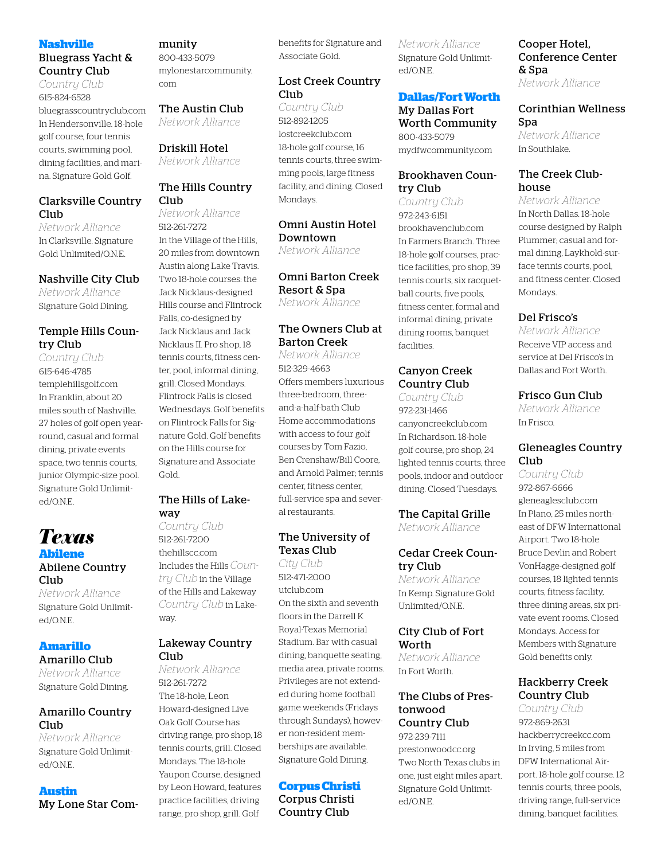#### **Nashville**

#### Bluegrass Yacht & Country Club

*Country Club* 615-824-6528 bluegrasscountryclub.com In Hendersonville. 18-hole golf course, four tennis courts, swimming pool, dining facilities, and marina. Signature Gold Golf.

#### Clarksville Country Club

*Network Alliance* In Clarksville. Signature Gold Unlimited/O.N.E.

#### Nashville City Club

*Network Alliance* Signature Gold Dining.

#### Temple Hills Country Club

*Country Club* 615-646-4785 templehillsgolf.com In Franklin, about 20 miles south of Nashville. 27 holes of golf open yearround, casual and formal dining, private events space, two tennis courts, junior Olympic-size pool. Signature Gold Unlimited/O.N.E.

#### *Texas* **Abilene** Abilene Country Club

*Network Alliance* Signature Gold Unlimited/O.N.E.

#### **Amarillo**

Amarillo Club *Network Alliance* Signature Gold Dining.

#### Amarillo Country Club

*Network Alliance* Signature Gold Unlimited/O.N.E.

## **Austin**

My Lone Star Com-

#### munity

800-433-5079 mylonestarcommunity. com

The Austin Club *Network Alliance*

#### Driskill Hotel

*Network Alliance*

#### The Hills Country Club

*Network Alliance* 512-261-7272 In the Village of the Hills, 20 miles from downtown Austin along Lake Travis. Two 18-hole courses: the Jack Nicklaus-designed Hills course and Flintrock Falls, co-designed by Jack Nicklaus and Jack Nicklaus II. Pro shop, 18 tennis courts, fitness center, pool, informal dining, grill. Closed Mondays. Flintrock Falls is closed Wednesdays. Golf benefits on Flintrock Falls for Signature Gold. Golf benefits on the Hills course for Signature and Associate Gold.

#### The Hills of Lakeway

*Country Club* 512-261-7200 thehillscc.com Includes the Hills *Country Club* in the Village of the Hills and Lakeway *Country Club* in Lakeway.

#### Lakeway Country Club

*Network Alliance* 512-261-7272 The 18-hole, Leon Howard-designed Live Oak Golf Course has driving range, pro shop, 18 tennis courts, grill. Closed Mondays. The 18-hole Yaupon Course, designed by Leon Howard, features practice facilities, driving range, pro shop, grill. Golf

benefits for Signature and Associate Gold.

#### Lost Creek Country Club

*Country Club* 512-892-1205 lostcreekclub.com 18-hole golf course, 16 tennis courts, three swimming pools, large fitness facility, and dining. Closed Mondays.

#### Omni Austin Hotel Downtown

*Network Alliance*

#### Omni Barton Creek Resort & Spa *Network Alliance*

#### The Owners Club at Barton Creek

*Network Alliance* 512-329-4663 Offers members luxurious three-bedroom, threeand-a-half-bath Club Home accommodations with access to four golf courses by Tom Fazio, Ben Crenshaw/Bill Coore, and Arnold Palmer; tennis center, fitness center, full-service spa and several restaurants.

#### The University of Texas Club

*City Club* 512-471-2000 utclub.com On the sixth and seventh floors in the Darrell K Royal-Texas Memorial Stadium. Bar with casual dining, banquette seating, media area, private rooms. Privileges are not extended during home football game weekends (Fridays through Sundays), however non-resident memberships are available. Signature Gold Dining.

#### **Corpus Christi**

Corpus Christi Country Club

*Network Alliance* Signature Gold Unlimited/O.N.E.

#### **Dallas/Fort Worth**

My Dallas Fort Worth Community 800-433-5079 mydfwcommunity.com

#### Brookhaven Country Club

*Country Club* 972-243-6151 brookhavenclub.com In Farmers Branch. Three 18-hole golf courses, practice facilities, pro shop, 39 tennis courts, six racquetball courts, five pools, fitness center, formal and informal dining, private dining rooms, banquet facilities.

#### Canyon Creek Country Club

*Country Club* 972-231-1466 canyoncreekclub.com In Richardson. 18-hole golf course, pro shop, 24 lighted tennis courts, three pools, indoor and outdoor dining. Closed Tuesdays.

The Capital Grille *Network Alliance*

#### Cedar Creek Country Club

*Network Alliance* In Kemp. Signature Gold Unlimited/O.N.E.

#### City Club of Fort Worth

*Network Alliance* In Fort Worth.

#### The Clubs of Prestonwood Country Club 972-239-7111

prestonwoodcc.org Two North Texas clubs in one, just eight miles apart. Signature Gold Unlimited/O.N.E.

Cooper Hotel, Conference Center & Spa *Network Alliance*

#### Corinthian Wellness Spa

*Network Alliance* In Southlake.

#### The Creek Clubhouse

*Network Alliance* In North Dallas. 18-hole course designed by Ralph Plummer; casual and formal dining, Laykhold-surface tennis courts, pool, and fitness center. Closed Mondays.

#### Del Frisco's

*Network Alliance* Receive VIP access and service at Del Frisco's in Dallas and Fort Worth.

#### Frisco Gun Club

*Network Alliance* In Frisco.

#### Gleneagles Country Club

*Country Club* 972-867-6666 gleneaglesclub.com In Plano, 25 miles northeast of DFW International Airport. Two 18-hole Bruce Devlin and Robert VonHagge-designed golf courses, 18 lighted tennis courts, fitness facility, three dining areas, six private event rooms. Closed Mondays. Access for Members with Signature Gold benefits only.

#### Hackberry Creek Country Club

*Country Club* 972-869-2631 hackberrycreekcc.com In Irving, 5 miles from DFW International Airport. 18-hole golf course. 12 tennis courts, three pools, driving range, full-service dining, banquet facilities.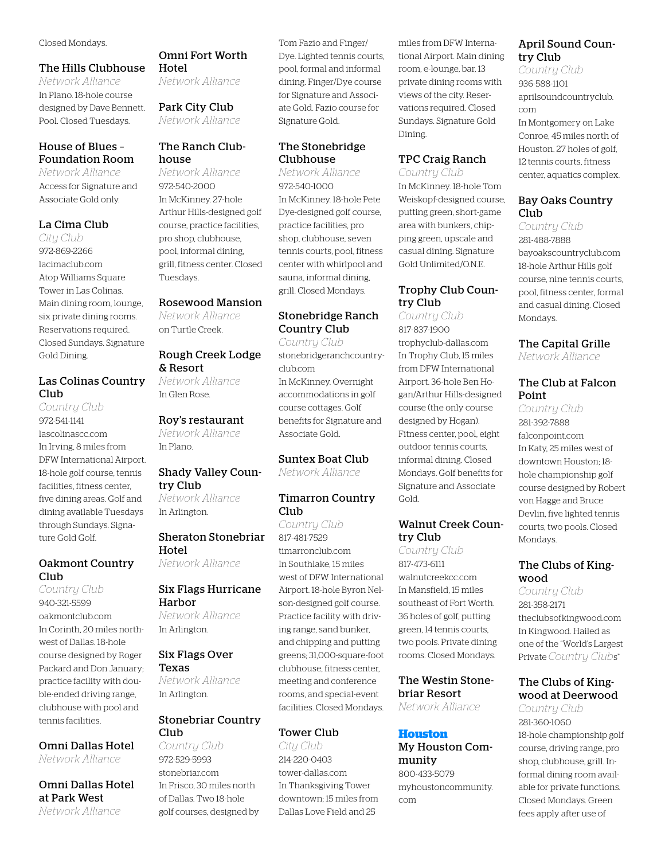#### Closed Mondays.

#### The Hills Clubhouse

*Network Alliance* In Plano. 18-hole course designed by Dave Bennett. Pool. Closed Tuesdays.

#### House of Blues – Foundation Room

*Network Alliance* Access for Signature and Associate Gold only.

#### La Cima Club

*City Club* 972-869-2266 lacimaclub.com Atop Williams Square Tower in Las Colinas. Main dining room, lounge, six private dining rooms. Reservations required. Closed Sundays. Signature Gold Dining.

#### Las Colinas Country Club

*Country Club* 972-541-1141 lascolinascc.com In Irving, 8 miles from DFW International Airport. 18-hole golf course, tennis facilities, fitness center, five dining areas. Golf and dining available Tuesdays through Sundays. Signature Gold Golf.

#### Oakmont Country Club

*Country Club* 940-321-5599 oakmontclub.com In Corinth, 20 miles northwest of Dallas. 18-hole course designed by Roger Packard and Don January; practice facility with double-ended driving range, clubhouse with pool and tennis facilities.

Omni Dallas Hotel

*Network Alliance*

Omni Dallas Hotel at Park West *Network Alliance*

#### Omni Fort Worth Hotel

*Network Alliance*

Park City Club *Network Alliance*

#### The Ranch Clubhouse

*Network Alliance* 972-540-2000 In McKinney. 27-hole Arthur Hills-designed golf course, practice facilities, pro shop, clubhouse, pool, informal dining, grill, fitness center. Closed Tuesdays.

#### Rosewood Mansion

*Network Alliance* on Turtle Creek.

#### Rough Creek Lodge & Resort

*Network Alliance* In Glen Rose.

#### Roy's restaurant

*Network Alliance* In Plano.

#### Shady Valley Country Club

*Network Alliance* In Arlington.

#### Sheraton Stonebriar Hotel

*Network Alliance*

#### Six Flags Hurricane Harbor

*Network Alliance* In Arlington.

#### Six Flags Over Texas

*Network Alliance* In Arlington.

#### Stonebriar Country Club

*Country Club* 972-529-5993 stonebriar.com In Frisco, 30 miles north of Dallas. Two 18-hole golf courses, designed by Tom Fazio and Finger/ Dye. Lighted tennis courts, pool, formal and informal dining. Finger/Dye course for Signature and Associate Gold. Fazio course for Signature Gold.

#### The Stonebridge Clubhouse

*Network Alliance* 972-540-1000 In McKinney. 18-hole Pete Dye-designed golf course, practice facilities, pro shop, clubhouse, seven tennis courts, pool, fitness center with whirlpool and sauna, informal dining, grill. Closed Mondays.

#### Stonebridge Ranch Country Club *Country Club*

stonebridgeranchcountryclub.com In McKinney. Overnight accommodations in golf course cottages. Golf benefits for Signature and Associate Gold.

#### Suntex Boat Club *Network Alliance*

#### Timarron Country Club

*Country Club* 817-481-7529 timarronclub.com In Southlake, 15 miles west of DFW International Airport. 18-hole Byron Nelson-designed golf course. Practice facility with driving range, sand bunker, and chipping and putting greens; 31,000-square-foot clubhouse, fitness center, meeting and conference rooms, and special-event facilities. Closed Mondays.

#### Tower Club

*City Club* 214-220-0403 tower-dallas.com In Thanksgiving Tower downtown; 15 miles from Dallas Love Field and 25

miles from DFW International Airport. Main dining room, e-lounge, bar, 13 private dining rooms with views of the city. Reservations required. Closed Sundays. Signature Gold Dining.

#### TPC Craig Ranch

*Country Club* In McKinney. 18-hole Tom Weiskopf-designed course, putting green, short-game area with bunkers, chipping green, upscale and casual dining. Signature Gold Unlimited/O.N.E.

#### Trophy Club Country Club

*Country Club* 817-837-1900 trophyclub-dallas.com In Trophy Club, 15 miles from DFW International Airport. 36-hole Ben Hogan/Arthur Hills-designed course (the only course designed by Hogan). Fitness center, pool, eight outdoor tennis courts, informal dining. Closed Mondays. Golf benefits for Signature and Associate Gold.

#### Walnut Creek Country Club

*Country Club* 817-473-6111 walnutcreekcc.com In Mansfield, 15 miles southeast of Fort Worth. 36 holes of golf, putting green, 14 tennis courts, two pools. Private dining rooms. Closed Mondays.

#### The Westin Stonebriar Resort

*Network Alliance*

#### **Houston**

My Houston Community 800-433-5079

myhoustoncommunity. com

#### April Sound Country Club

*Country Club* 936-588-1101 aprilsoundcountryclub. com In Montgomery on Lake Conroe, 45 miles north of Houston. 27 holes of golf, 12 tennis courts, fitness center, aquatics complex.

#### Bay Oaks Country Club

*Country Club* 281-488-7888 bayoakscountryclub.com 18-hole Arthur Hills golf course, nine tennis courts, pool, fitness center, formal and casual dining. Closed Mondays.

#### The Capital Grille

*Network Alliance*

#### The Club at Falcon Point

*Country Club* 281-392-7888 falconpoint.com In Katy, 25 miles west of downtown Houston; 18 hole championship golf course designed by Robert von Hagge and Bruce Devlin, five lighted tennis courts, two pools. Closed Mondays.

#### The Clubs of Kingwood

*Country Club* 281-358-2171 theclubsofkingwood.com In Kingwood. Hailed as one of the "World's Largest Private *Country Club*s"

#### The Clubs of Kingwood at Deerwood

*Country Club* 281-360-1060 18-hole championship golf course, driving range, pro shop, clubhouse, grill. Informal dining room available for private functions. Closed Mondays. Green fees apply after use of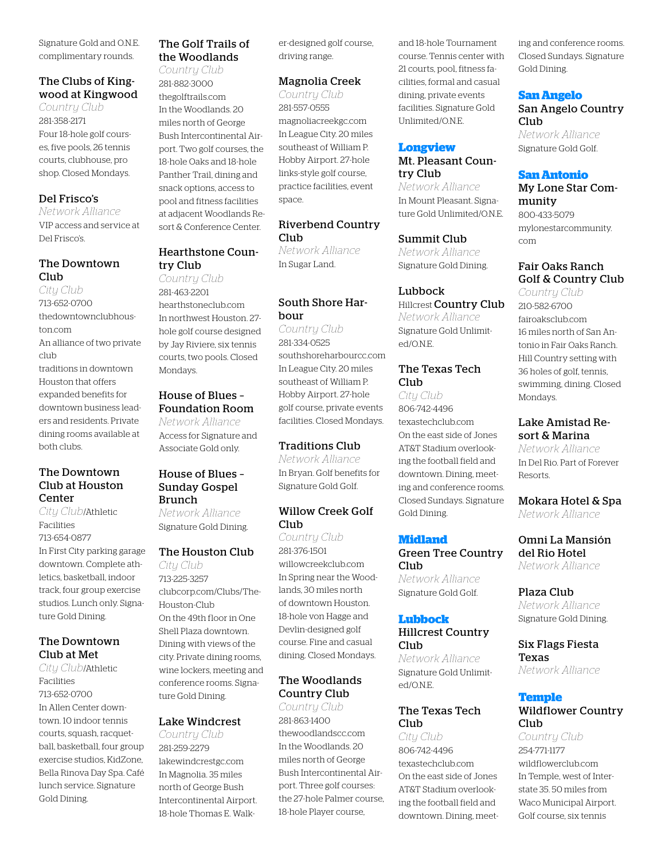Signature Gold and O.N.E. complimentary rounds.

#### The Clubs of Kingwood at Kingwood

*Country Club* 281-358-2171 Four 18-hole golf courses, five pools, 26 tennis courts, clubhouse, pro shop. Closed Mondays.

#### Del Frisco's

*Network Alliance* VIP access and service at Del Frisco's.

#### The Downtown Club

*City Club* 713-652-0700 thedowntownclubhouston.com An alliance of two private club traditions in downtown Houston that offers expanded benefits for downtown business leaders and residents. Private dining rooms available at both clubs.

#### The Downtown Club at Houston Center

*City Club*/Athletic Facilities 713-654-0877 In First City parking garage downtown. Complete athletics, basketball, indoor track, four group exercise studios. Lunch only. Signature Gold Dining.

#### The Downtown Club at Met

*City Club*/Athletic Facilities 713-652-0700 In Allen Center downtown. 10 indoor tennis courts, squash, racquetball, basketball, four group exercise studios, KidZone, Bella Rinova Day Spa. Café lunch service. Signature Gold Dining.

#### The Golf Trails of the Woodlands

*Country Club* 281-882-3000 thegolftrails.com In the Woodlands. 20 miles north of George Bush Intercontinental Airport. Two golf courses, the 18-hole Oaks and 18-hole Panther Trail, dining and snack options, access to pool and fitness facilities at adjacent Woodlands Resort & Conference Center.

#### Hearthstone Country Club

*Country Club* 281-463-2201 hearthstoneclub.com In northwest Houston. 27 hole golf course designed by Jay Riviere, six tennis courts, two pools. Closed Mondays.

#### House of Blues – Foundation Room

*Network Alliance* Access for Signature and Associate Gold only.

#### House of Blues – Sunday Gospel Brunch

*Network Alliance* Signature Gold Dining.

#### The Houston Club

*City Club* 713-225-3257 clubcorp.com/Clubs/The-Houston-Club On the 49th floor in One Shell Plaza downtown. Dining with views of the city. Private dining rooms, wine lockers, meeting and conference rooms. Signature Gold Dining.

#### Lake Windcrest

*Country Club* 281-259-2279 lakewindcrestgc.com In Magnolia. 35 miles north of George Bush Intercontinental Airport. 18-hole Thomas E. Walker-designed golf course, driving range.

#### Magnolia Creek

*Country Club* 281-557-0555 magnoliacreekgc.com In League City. 20 miles southeast of William P. Hobby Airport. 27-hole links-style golf course, practice facilities, event space.

#### Riverbend Country Club

*Network Alliance* In Sugar Land.

#### South Shore Harbour

*Country Club* 281-334-0525 southshoreharbourcc.com In League City. 20 miles southeast of William P. Hobby Airport. 27-hole golf course, private events facilities. Closed Mondays.

#### Traditions Club

*Network Alliance* In Bryan. Golf benefits for Signature Gold Golf.

#### Willow Creek Golf Club

*Country Club* 281-376-1501 willowcreekclub.com In Spring near the Woodlands, 30 miles north of downtown Houston. 18-hole von Hagge and Devlin-designed golf course. Fine and casual dining. Closed Mondays.

#### The Woodlands Country Club

*Country Club* 281-863-1400 thewoodlandscc.com In the Woodlands. 20 miles north of George Bush Intercontinental Airport. Three golf courses: the 27-hole Palmer course, 18-hole Player course,

and 18-hole Tournament course. Tennis center with 21 courts, pool, fitness facilities, formal and casual dining, private events facilities. Signature Gold Unlimited/O.N.E.

#### **Longview**

#### Mt. Pleasant Country Club

*Network Alliance* In Mount Pleasant. Signature Gold Unlimited/O.N.E.

Summit Club

*Network Alliance* Signature Gold Dining.

#### Lubbock

Hillcrest Country Club *Network Alliance* Signature Gold Unlimited/O.N.E.

#### The Texas Tech Club

*City Club* 806-742-4496 texastechclub.com On the east side of Jones AT&T Stadium overlooking the football field and downtown. Dining, meeting and conference rooms. Closed Sundays. Signature Gold Dining.

#### **Midland**

Green Tree Country Club *Network Alliance* Signature Gold Golf.

#### **Lubbock**

#### Hillcrest Country Club

*Network Alliance* Signature Gold Unlimited/O.N.E.

#### The Texas Tech Club

*City Club* 806-742-4496 texastechclub.com On the east side of Jones AT&T Stadium overlooking the football field and downtown. Dining, meeting and conference rooms. Closed Sundays. Signature Gold Dining.

#### **San Angelo**

#### San Angelo Country Club

*Network Alliance* Signature Gold Golf.

#### **San Antonio**

My Lone Star Community 800-433-5079 mylonestarcommunity. com

#### Fair Oaks Ranch Golf & Country Club

*Country Club* 210-582-6700 fairoaksclub.com 16 miles north of San Antonio in Fair Oaks Ranch. Hill Country setting with 36 holes of golf, tennis, swimming, dining. Closed Mondays.

#### Lake Amistad Resort & Marina

*Network Alliance* In Del Rio. Part of Forever Resorts.

Mokara Hotel & Spa *Network Alliance*

#### Omni La Mansión del Rio Hotel

*Network Alliance*

Plaza Club *Network Alliance* Signature Gold Dining.

Six Flags Fiesta Texas *Network Alliance*

#### **Temple**

#### Wildflower Country Club

*Country Club* 254-771-1177 wildflowerclub.com In Temple, west of Interstate 35. 50 miles from Waco Municipal Airport. Golf course, six tennis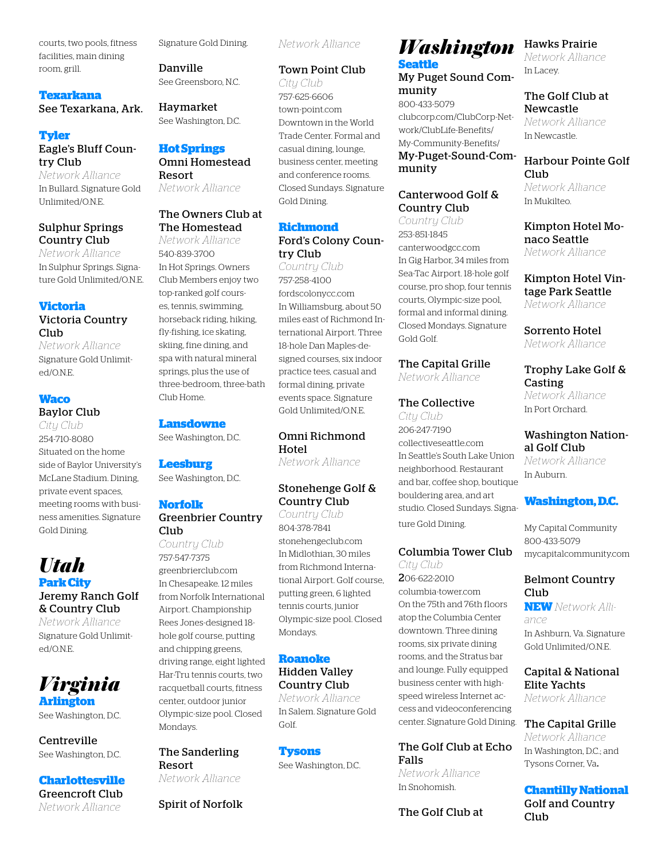courts, two pools, fitness facilities, main dining room, grill.

## **Texarkana**

See Texarkana, Ark.

#### **Tyler** Eagle's Bluff Country Club

*Network Alliance* In Bullard. Signature Gold Unlimited/O.N.E.

#### Sulphur Springs Country Club

*Network Alliance* In Sulphur Springs. Signature Gold Unlimited/O.N.E.

#### **Victoria**

#### Victoria Country Club

*Network Alliance* Signature Gold Unlimited/O.N.E.

#### **Waco**

#### Baylor Club

*City Club* 254-710-8080 Situated on the home side of Baylor University's McLane Stadium. Dining, private event spaces, meeting rooms with business amenities. Signature Gold Dining.

## *Utah*

**Park City** Jeremy Ranch Golf & Country Club

*Network Alliance* Signature Gold Unlimited/O.N.E.



See Washington, D.C.

Centreville See Washington, D.C.

#### **Charlottesville**

Greencroft Club *Network Alliance*

Signature Gold Dining.

Danville See Greensboro, N.C.

Haymarket See Washington, D.C.

#### **Hot Springs**

#### Omni Homestead Resort

*Network Alliance*

#### The Owners Club at The Homestead

*Network Alliance* 540-839-3700 In Hot Springs. Owners Club Members enjoy two top-ranked golf courses, tennis, swimming, horseback riding, hiking, fly-fishing, ice skating, skiing, fine dining, and spa with natural mineral springs, plus the use of three-bedroom, three-bath Club Home.

#### **Lansdowne**

See Washington, D.C.

#### **Leesburg**

See Washington, D.C.

#### **Norfolk**

#### Greenbrier Country Club

*Country Club* 757-547-7375 greenbrierclub.com In Chesapeake. 12 miles from Norfolk International Airport. Championship Rees Jones-designed 18 hole golf course, putting and chipping greens, driving range, eight lighted Har-Tru tennis courts, two racquetball courts, fitness center, outdoor junior Olympic-size pool. Closed Mondays.

#### The Sanderling Resort *Network Alliance*

Spirit of Norfolk

*Network Alliance*

#### Town Point Club

*City Club* 757-625-6606 town-point.com Downtown in the World Trade Center. Formal and casual dining, lounge, business center, meeting and conference rooms. Closed Sundays. Signature Gold Dining.

#### **Richmond**

#### Ford's Colony Country Club

*Country Club* 757-258-4100 fordscolonycc.com In Williamsburg, about 50 miles east of Richmond International Airport. Three 18-hole Dan Maples-designed courses, six indoor practice tees, casual and formal dining, private events space. Signature Gold Unlimited/O.N.E.

#### Omni Richmond Hotel

*Network Alliance*

#### Stonehenge Golf & Country Club

*Country Club* 804-378-7841 stonehengeclub.com In Midlothian, 30 miles from Richmond International Airport. Golf course, putting green, 6 lighted tennis courts, junior Olympic-size pool. Closed Mondays.

#### **Roanoke**

#### Hidden Valley Country Club

*Network Alliance* In Salem. Signature Gold Golf.

#### **Tysons**

See Washington, D.C.

## *Washington*

**Seattle** My Puget Sound Community

800-433-5079 clubcorp.com/ClubCorp-Network/ClubLife-Benefits/ My-Community-Benefits/ My-Puget-Sound-Community

#### Canterwood Golf & Country Club

*Country Club* 253-851-1845 canterwoodgcc.com In Gig Harbor, 34 miles from Sea-Tac Airport. 18-hole golf course, pro shop, four tennis courts, Olympic-size pool, formal and informal dining. Closed Mondays. Signature Gold Golf.

#### The Capital Grille

*Network Alliance*

#### The Collective

*City Club* 206-247-7190 collectiveseattle.com In Seattle's South Lake Union neighborhood. Restaurant and bar, coffee shop, boutique bouldering area, and art studio. Closed Sundays. Signature Gold Dining.

#### Columbia Tower Club

*City Club* 206-622-2010 columbia-tower.com On the 75th and 76th floors atop the Columbia Center downtown. Three dining rooms, six private dining rooms, and the Stratus bar and lounge. Fully equipped business center with highspeed wireless Internet access and videoconferencing center. Signature Gold Dining.

#### The Golf Club at Echo Falls

*Network Alliance* In Snohomish.

#### The Golf Club at

#### Hawks Prairie

*Network Alliance* In Lacey.

#### The Golf Club at Newcastle

*Network Alliance* In Newcastle.

#### Harbour Pointe Golf Club *Network Alliance*

In Mukilteo.

Kimpton Hotel Monaco Seattle *Network Alliance*

Kimpton Hotel Vintage Park Seattle *Network Alliance*

Sorrento Hotel *Network Alliance*

#### Trophy Lake Golf & Casting *Network Alliance*

In Port Orchard.

#### Washington Nation-

al Golf Club *Network Alliance* In Auburn.

#### **Washington, D.C.**

My Capital Community 800-433-5079 mycapitalcommunity.com

#### Belmont Country Club

**NEW** *Network Alliance*

In Ashburn, Va. Signature Gold Unlimited/O.N.E.

#### Capital & National Elite Yachts

*Network Alliance*

#### The Capital Grille

*Network Alliance* In Washington, D.C.; and Tysons Corner, Va.

**Chantilly National**  Golf and Country Club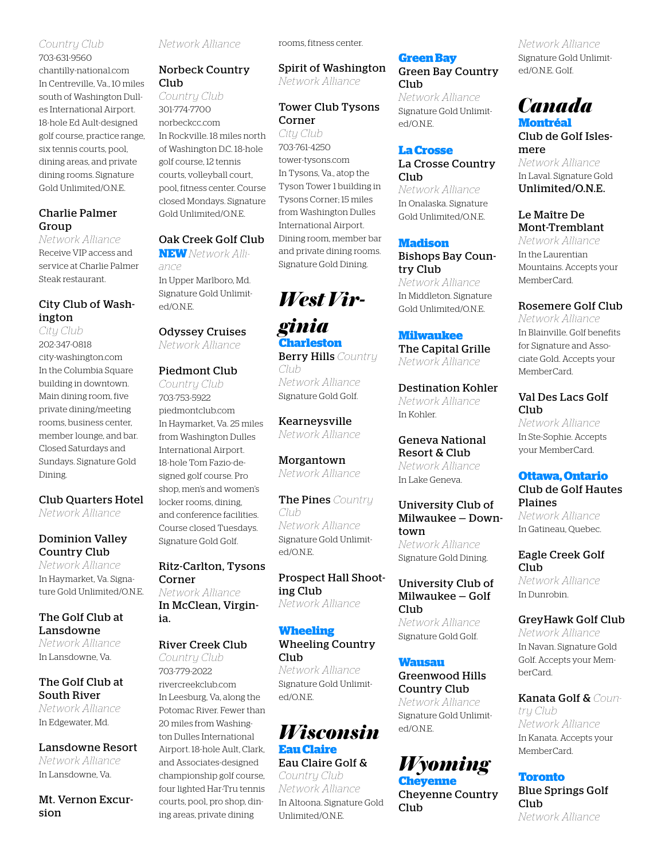#### *Country Club*

703-631-9560 chantilly-national.com In Centreville, Va., 10 miles south of Washington Dulles International Airport. 18-hole Ed Ault-designed golf course, practice range, six tennis courts, pool, dining areas, and private dining rooms. Signature Gold Unlimited/O.N.E.

#### Charlie Palmer Group

*Network Alliance* Receive VIP access and service at Charlie Palmer Steak restaurant.

#### City Club of Washington

*City Club* 202-347-0818 city-washington.com In the Columbia Square building in downtown. Main dining room, five private dining/meeting rooms, business center, member lounge, and bar. Closed Saturdays and Sundays. Signature Gold Dining.

Club Quarters Hotel *Network Alliance*

#### Dominion Valley Country Club

*Network Alliance* In Haymarket, Va. Signature Gold Unlimited/O.N.E.

#### The Golf Club at Lansdowne

*Network Alliance* In Lansdowne, Va.

#### The Golf Club at South River *Network Alliance*

In Edgewater, Md.

#### Lansdowne Resort

*Network Alliance* In Lansdowne, Va.

Mt. Vernon Excursion

*Network Alliance*

#### Norbeck Country Club

*Country Club* 301-774-7700 norbeckcc.com In Rockville. 18 miles north of Washington D.C. 18-hole golf course, 12 tennis courts, volleyball court, pool, fitness center. Course closed Mondays. Signature Gold Unlimited/O.N.E.

#### Oak Creek Golf Club

**NEW** *Network Alliance* In Upper Marlboro, Md. Signature Gold Unlimited/O.N.E.

#### Odyssey Cruises *Network Alliance*

*Country Club* 703-753-5922 piedmontclub.com In Haymarket, Va. 25 miles from Washington Dulles International Airport. 18-hole Tom Fazio-designed golf course. Pro shop, men's and women's locker rooms, dining, and conference facilities. Course closed Tuesdays. Signature Gold Golf.

Ritz-Carlton, Tysons Corner *Network Alliance* In McClean, Virginia.

#### River Creek Club

*Country Club* 703-779-2022 rivercreekclub.com In Leesburg, Va, along the Potomac River. Fewer than 20 miles from Washington Dulles International Airport. 18-hole Ault, Clark, and Associates-designed championship golf course, four lighted Har-Tru tennis courts, pool, pro shop, dining areas, private dining

rooms, fitness center.

Spirit of Washington *Network Alliance*

Tower Club Tysons

*West Vir-*

*Network Alliance* Signature Gold Golf.

Kearneysville *Network Alliance*

Morgantown *Network Alliance*

The Pines *Country* 

Prospect Hall Shoot-

*Network Alliance* Signature Gold Unlimit-

*Network Alliance*

*Network Alliance* Signature Gold Unlimit-

*Wisconsin*

*ginia* **Charleston** Berry Hills *Country* 

*Club*

*Club*

ed/O.N.E.

ing Club

Club

ed/O.N.E.

**Eau Claire** Eau Claire Golf & *Country Club Network Alliance* In Altoona. Signature Gold

Unlimited/O.N.E.

Corner *City Club* 703-761-4250 tower-tysons.com In Tysons, Va., atop the Tyson Tower 1 building in Tysons Corner; 15 miles from Washington Dulles International Airport. Dining room, member bar and private dining rooms. Signature Gold Dining.

#### Piedmont Club

#### **Wheeling** Wheeling Country

#### **Green Bay**

Green Bay Country **Club** 

*Network Alliance* Signature Gold Unlimited/O.N.E.

#### **La Crosse**

#### La Crosse Country Club

*Network Alliance* In Onalaska. Signature Gold Unlimited/O.N.E.

#### **Madison**

Bishops Bay Country Club *Network Alliance* In Middleton. Signature Gold Unlimited/O.N.E.

#### **Milwaukee**

The Capital Grille *Network Alliance*

Destination Kohler *Network Alliance* In Kohler.

Geneva National Resort & Club *Network Alliance* In Lake Geneva.

University Club of Milwaukee — Downtown *Network Alliance* Signature Gold Dining.

University Club of Milwaukee — Golf Club *Network Alliance* Signature Gold Golf.

#### **Wausau**

Greenwood Hills Country Club *Network Alliance* Signature Gold Unlimited/O.N.E.

## *Wyoming*

**Cheyenne** Cheyenne Country Club

*Network Alliance* Signature Gold Unlimited/O.N.E. Golf.

#### *Canada* **Montréal**

Club de Golf Islesmere *Network Alliance* In Laval. Signature Gold Unlimited/O.N.E.

Le Maître De Mont-Tremblant

*Network Alliance* In the Laurentian Mountains. Accepts your MemberCard.

#### Rosemere Golf Club

*Network Alliance* In Blainville. Golf benefits for Signature and Associate Gold. Accepts your MemberCard.

#### Val Des Lacs Golf Club<sub></sub>

*Network Alliance* In Ste-Sophie. Accepts your MemberCard.

#### **Ottawa, Ontario**

Club de Golf Hautes Plaines *Network Alliance*

In Gatineau, Quebec.

Eagle Creek Golf Club *Network Alliance*

In Dunrobin.

#### GreyHawk Golf Club

*Network Alliance* In Navan. Signature Gold Golf. Accepts your MemberCard.

Kanata Golf & *Country Club Network Alliance* In Kanata. Accepts your MemberCard.

#### **Toronto**

Blue Springs Golf Club<sub></sub> *Network Alliance*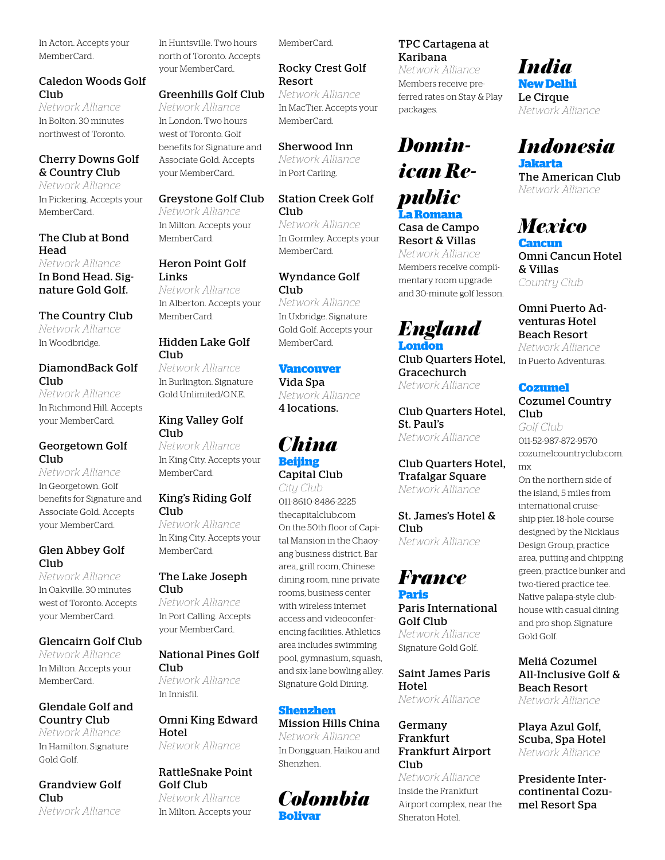In Acton. Accepts your MemberCard.

#### Caledon Woods Golf Club

*Network Alliance* In Bolton. 30 minutes northwest of Toronto.

#### Cherry Downs Golf & Country Club

*Network Alliance* In Pickering. Accepts your MemberCard.

#### The Club at Bond Head

*Network Alliance* In Bond Head. Signature Gold Golf.

#### The Country Club

*Network Alliance* In Woodbridge.

#### DiamondBack Golf Club

*Network Alliance* In Richmond Hill. Accepts your MemberCard.

#### Georgetown Golf Club

*Network Alliance* In Georgetown. Golf benefits for Signature and Associate Gold. Accepts your MemberCard.

#### Glen Abbey Golf Club

*Network Alliance* In Oakville. 30 minutes west of Toronto. Accepts your MemberCard.

#### Glencairn Golf Club

*Network Alliance* In Milton. Accepts your MemberCard.

#### Glendale Golf and Country Club

*Network Alliance* In Hamilton. Signature Gold Golf.

Grandview Golf Club *Network Alliance*

In Huntsville. Two hours north of Toronto. Accepts your MemberCard.

#### Greenhills Golf Club

*Network Alliance* In London. Two hours west of Toronto. Golf benefits for Signature and Associate Gold. Accepts your MemberCard.

#### Greystone Golf Club

*Network Alliance* In Milton. Accepts your MemberCard.

#### Heron Point Golf Links *Network Alliance*

In Alberton. Accepts your MemberCard.

#### Hidden Lake Golf Club

*Network Alliance* In Burlington. Signature Gold Unlimited/O.N.E.

#### King Valley Golf Club

*Network Alliance* In King City. Accepts your MemberCard.

#### King's Riding Golf Club

*Network Alliance* In King City. Accepts your MemberCard.

#### The Lake Joseph Club

*Network Alliance* In Port Calling. Accepts your MemberCard.

#### National Pines Golf Club *Network Alliance*

In Innisfil.

#### Omni King Edward Hotel

*Network Alliance*

## RattleSnake Point Golf Club

*Network Alliance* In Milton. Accepts your MemberCard.

#### Rocky Crest Golf Resort

*Network Alliance* In MacTier. Accepts your MemberCard.

#### Sherwood Inn

*Network Alliance* In Port Carling.

#### Station Creek Golf Club

*Network Alliance* In Gormley. Accepts your MemberCard.

#### Wyndance Golf Club *Network Alliance*

In Uxbridge. Signature Gold Golf. Accepts your MemberCard.

#### **Vancouver**

Vida Spa *Network Alliance* 4 locations.

#### *China* **Beijing** Capital Club

*City Club* 011-8610-8486-2225 thecapitalclub.com On the 50th floor of Capital Mansion in the Chaoyang business district. Bar area, grill room, Chinese dining room, nine private rooms, business center with wireless internet access and videoconferencing facilities. Athletics area includes swimming pool, gymnasium, squash, and six-lane bowling alley. Signature Gold Dining.

#### **Shenzhen**

Mission Hills China *Network Alliance* In Dongguan, Haikou and Shenzhen.

#### *Colombia* **Bolivar**

#### TPC Cartagena at Karibana

*Network Alliance* Members receive preferred rates on Stay & Play packages.

## *Dominican Republic* **La Romana**

Casa de Campo Resort & Villas *Network Alliance* Members receive complimentary room upgrade and 30-minute golf lesson.

#### *England* **London**

Club Quarters Hotel, Gracechurch *Network Alliance*

Club Quarters Hotel, St. Paul's *Network Alliance*

#### Club Quarters Hotel, Trafalgar Square *Network Alliance*

St. James's Hotel & Club *Network Alliance*

#### *France* **Paris**

#### Paris International Golf Club *Network Alliance*

Signature Gold Golf.

#### Saint James Paris Hotel

*Network Alliance*

#### Germany Frankfurt Frankfurt Airport Club

*Network Alliance* Inside the Frankfurt Airport complex, near the Sheraton Hotel.

#### *India* **New Delhi**

Le Cirque *Network Alliance*

## *Indonesia*

**Jakarta** The American Club *Network Alliance*

#### *Mexico* **Cancun**

Omni Cancun Hotel & Villas *Country Club*

#### Omni Puerto Adventuras Hotel Beach Resort *Network Alliance*

In Puerto Adventuras.

#### **Cozumel**

#### Cozumel Country Club

*Golf Club* 011-52-987-872-9570 cozumelcountryclub.com. mx

On the northern side of the island, 5 miles from international cruiseship pier. 18-hole course designed by the Nicklaus Design Group, practice area, putting and chipping green, practice bunker and two-tiered practice tee. Native palapa-style clubhouse with casual dining and pro shop. Signature Gold Golf.

#### Meliá Cozumel All-Inclusive Golf & Beach Resort *Network Alliance*

Playa Azul Golf, Scuba, Spa Hotel *Network Alliance*

Presidente Intercontinental Cozumel Resort Spa